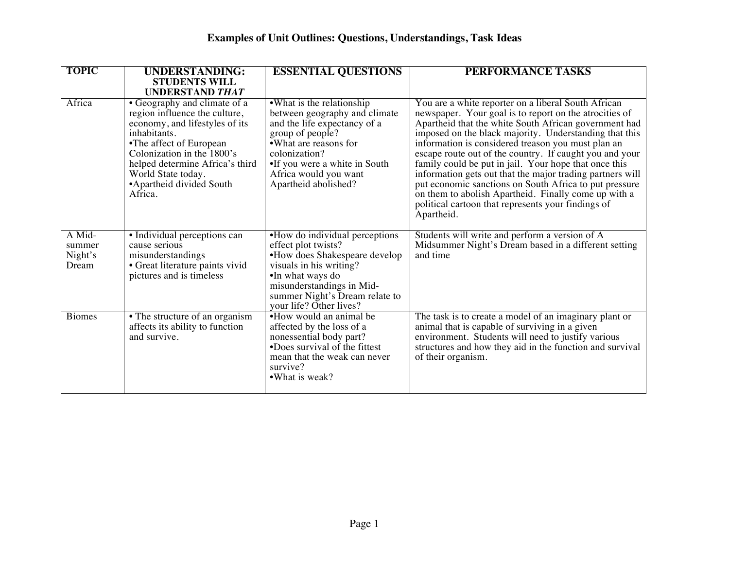| <b>TOPIC</b>                         | <b>UNDERSTANDING:</b><br><b>STUDENTS WILL</b><br><b>UNDERSTAND THAT</b>                                                                                                                                                                                                   | <b>ESSENTIAL QUESTIONS</b>                                                                                                                                                                                                                  | <b>PERFORMANCE TASKS</b>                                                                                                                                                                                                                                                                                                                                                                                                                                                                                                                                                                                                                                      |
|--------------------------------------|---------------------------------------------------------------------------------------------------------------------------------------------------------------------------------------------------------------------------------------------------------------------------|---------------------------------------------------------------------------------------------------------------------------------------------------------------------------------------------------------------------------------------------|---------------------------------------------------------------------------------------------------------------------------------------------------------------------------------------------------------------------------------------------------------------------------------------------------------------------------------------------------------------------------------------------------------------------------------------------------------------------------------------------------------------------------------------------------------------------------------------------------------------------------------------------------------------|
| Africa                               | • Geography and climate of a<br>region influence the culture,<br>economy, and lifestyles of its<br>inhabitants.<br>•The affect of European<br>Colonization in the 1800's<br>helped determine Africa's third<br>World State today.<br>• Apartheid divided South<br>Africa. | •What is the relationship<br>between geography and climate<br>and the life expectancy of a<br>group of people?<br>• What are reasons for<br>colonization?<br>•If you were a white in South<br>Africa would you want<br>Apartheid abolished? | You are a white reporter on a liberal South African<br>newspaper. Your goal is to report on the atrocities of<br>Apartheid that the white South African government had<br>imposed on the black majority. Understanding that this<br>information is considered treason you must plan an<br>escape route out of the country. If caught you and your<br>family could be put in jail. Your hope that once this<br>information gets out that the major trading partners will<br>put economic sanctions on South Africa to put pressure<br>on them to abolish Apartheid. Finally come up with a<br>political cartoon that represents your findings of<br>Apartheid. |
| A Mid-<br>summer<br>Night's<br>Dream | • Individual perceptions can<br>cause serious<br>misunderstandings<br>· Great literature paints vivid<br>pictures and is timeless                                                                                                                                         | •How do individual perceptions<br>effect plot twists?<br>•How does Shakespeare develop<br>visuals in his writing?<br>•In what ways do<br>misunderstandings in Mid-<br>summer Night's Dream relate to<br>your life? Other lives?             | Students will write and perform a version of A<br>Midsummer Night's Dream based in a different setting<br>and time                                                                                                                                                                                                                                                                                                                                                                                                                                                                                                                                            |
| <b>Biomes</b>                        | • The structure of an organism<br>affects its ability to function<br>and survive.                                                                                                                                                                                         | •How would an animal be<br>affected by the loss of a<br>nonessential body part?<br>•Does survival of the fittest<br>mean that the weak can never<br>survive?<br>•What is weak?                                                              | The task is to create a model of an imaginary plant or<br>animal that is capable of surviving in a given<br>environment. Students will need to justify various<br>structures and how they aid in the function and survival<br>of their organism.                                                                                                                                                                                                                                                                                                                                                                                                              |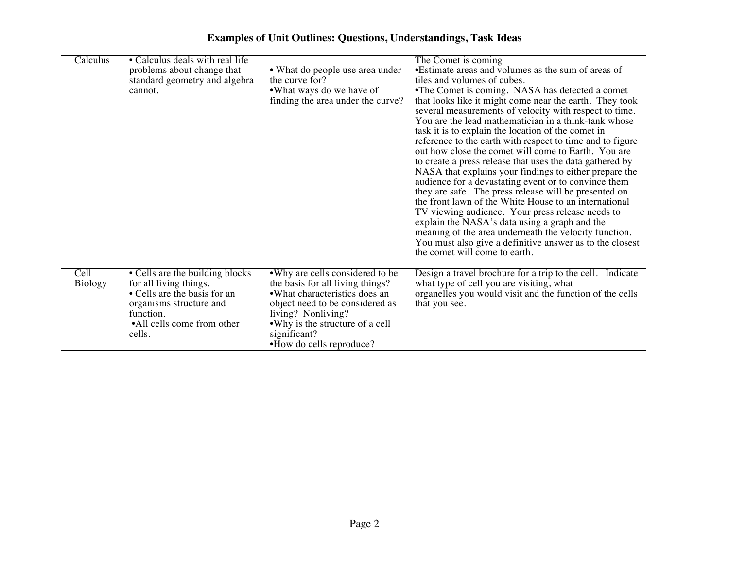| Calculus       | • Calculus deals with real life                                                                                                                                           |                                                                                                                                                                                                                                              | The Comet is coming                                                                                                                                                                                                                                                                                                                                                                                                                                                                                                                                                                                                                                                                                                                                                                                                                                                                                            |
|----------------|---------------------------------------------------------------------------------------------------------------------------------------------------------------------------|----------------------------------------------------------------------------------------------------------------------------------------------------------------------------------------------------------------------------------------------|----------------------------------------------------------------------------------------------------------------------------------------------------------------------------------------------------------------------------------------------------------------------------------------------------------------------------------------------------------------------------------------------------------------------------------------------------------------------------------------------------------------------------------------------------------------------------------------------------------------------------------------------------------------------------------------------------------------------------------------------------------------------------------------------------------------------------------------------------------------------------------------------------------------|
|                | problems about change that                                                                                                                                                | • What do people use area under                                                                                                                                                                                                              | •Estimate areas and volumes as the sum of areas of                                                                                                                                                                                                                                                                                                                                                                                                                                                                                                                                                                                                                                                                                                                                                                                                                                                             |
|                | standard geometry and algebra                                                                                                                                             | the curve for?                                                                                                                                                                                                                               | tiles and volumes of cubes.                                                                                                                                                                                                                                                                                                                                                                                                                                                                                                                                                                                                                                                                                                                                                                                                                                                                                    |
|                | cannot.                                                                                                                                                                   | •What ways do we have of                                                                                                                                                                                                                     | •The Comet is coming. NASA has detected a comet                                                                                                                                                                                                                                                                                                                                                                                                                                                                                                                                                                                                                                                                                                                                                                                                                                                                |
|                |                                                                                                                                                                           | finding the area under the curve?                                                                                                                                                                                                            | that looks like it might come near the earth. They took<br>several measurements of velocity with respect to time.<br>You are the lead mathematician in a think-tank whose<br>task it is to explain the location of the comet in<br>reference to the earth with respect to time and to figure<br>out how close the comet will come to Earth. You are<br>to create a press release that uses the data gathered by<br>NASA that explains your findings to either prepare the<br>audience for a devastating event or to convince them<br>they are safe. The press release will be presented on<br>the front lawn of the White House to an international<br>TV viewing audience. Your press release needs to<br>explain the NASA's data using a graph and the<br>meaning of the area underneath the velocity function.<br>You must also give a definitive answer as to the closest<br>the comet will come to earth. |
| Cell           |                                                                                                                                                                           |                                                                                                                                                                                                                                              |                                                                                                                                                                                                                                                                                                                                                                                                                                                                                                                                                                                                                                                                                                                                                                                                                                                                                                                |
| <b>Biology</b> | • Cells are the building blocks<br>for all living things.<br>• Cells are the basis for an<br>organisms structure and<br>function.<br>•All cells come from other<br>cells. | •Why are cells considered to be<br>the basis for all living things?<br>•What characteristics does an<br>object need to be considered as<br>living? Nonliving?<br>•Why is the structure of a cell<br>significant?<br>•How do cells reproduce? | Design a travel brochure for a trip to the cell. Indicate<br>what type of cell you are visiting, what<br>organelles you would visit and the function of the cells<br>that you see.                                                                                                                                                                                                                                                                                                                                                                                                                                                                                                                                                                                                                                                                                                                             |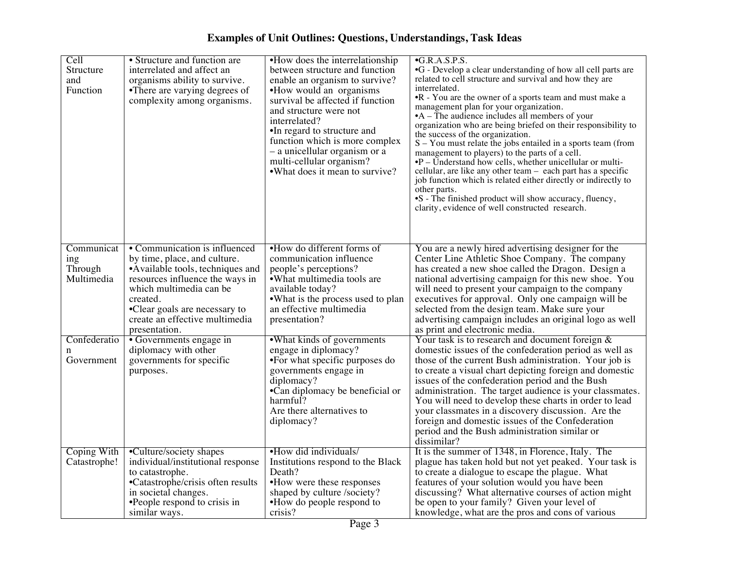| Cell<br>Structure<br>and<br>Function       | • Structure and function are<br>interrelated and affect an<br>organisms ability to survive.<br>•There are varying degrees of<br>complexity among organisms.                                                                                                      | •How does the interrelationship<br>between structure and function<br>enable an organism to survive?<br>•How would an organisms<br>survival be affected if function<br>and structure were not<br>interrelated?<br>•In regard to structure and<br>function which is more complex<br>- a unicellular organism or a<br>multi-cellular organism?<br>• What does it mean to survive? | $\bullet$ G.R.A.S.P.S.<br>•G - Develop a clear understanding of how all cell parts are<br>related to cell structure and survival and how they are<br>interrelated.<br>•R - You are the owner of a sports team and must make a<br>management plan for your organization.<br>$\bullet$ A – The audience includes all members of your<br>organization who are being briefed on their responsibility to<br>the success of the organization.<br>S - You must relate the jobs entailed in a sports team (from<br>management to players) to the parts of a cell.<br>$\bullet$ P – Understand how cells, whether unicellular or multi-<br>cellular, are like any other team - each part has a specific<br>job function which is related either directly or indirectly to<br>other parts.<br>•S - The finished product will show accuracy, fluency,<br>clarity, evidence of well constructed research. |
|--------------------------------------------|------------------------------------------------------------------------------------------------------------------------------------------------------------------------------------------------------------------------------------------------------------------|--------------------------------------------------------------------------------------------------------------------------------------------------------------------------------------------------------------------------------------------------------------------------------------------------------------------------------------------------------------------------------|-----------------------------------------------------------------------------------------------------------------------------------------------------------------------------------------------------------------------------------------------------------------------------------------------------------------------------------------------------------------------------------------------------------------------------------------------------------------------------------------------------------------------------------------------------------------------------------------------------------------------------------------------------------------------------------------------------------------------------------------------------------------------------------------------------------------------------------------------------------------------------------------------|
| Communicat<br>ing<br>Through<br>Multimedia | • Communication is influenced<br>by time, place, and culture.<br>• Available tools, techniques and<br>resources influence the ways in<br>which multimedia can be<br>created.<br>•Clear goals are necessary to<br>create an effective multimedia<br>presentation. | •How do different forms of<br>communication influence<br>people's perceptions?<br>·What multimedia tools are<br>available today?<br>• What is the process used to plan<br>an effective multimedia<br>presentation?                                                                                                                                                             | You are a newly hired advertising designer for the<br>Center Line Athletic Shoe Company. The company<br>has created a new shoe called the Dragon. Design a<br>national advertising campaign for this new shoe. You<br>will need to present your campaign to the company<br>executives for approval. Only one campaign will be<br>selected from the design team. Make sure your<br>advertising campaign includes an original logo as well<br>as print and electronic media.                                                                                                                                                                                                                                                                                                                                                                                                                    |
| Confederatio<br>n<br>Government            | • Governments engage in<br>diplomacy with other<br>governments for specific<br>purposes.                                                                                                                                                                         | •What kinds of governments<br>engage in diplomacy?<br>•For what specific purposes do<br>governments engage in<br>diplomacy?<br>•Can diplomacy be beneficial or<br>harmful?<br>Are there alternatives to<br>diplomacy?                                                                                                                                                          | Your task is to research and document foreign $\&$<br>domestic issues of the confederation period as well as<br>those of the current Bush administration. Your job is<br>to create a visual chart depicting foreign and domestic<br>issues of the confederation period and the Bush<br>administration. The target audience is your classmates.<br>You will need to develop these charts in order to lead<br>your classmates in a discovery discussion. Are the<br>foreign and domestic issues of the Confederation<br>period and the Bush administration similar or<br>dissimilar?                                                                                                                                                                                                                                                                                                            |
| <b>Coping With</b><br>Catastrophe!         | •Culture/society shapes<br>individual/institutional response<br>to catastrophe.<br>•Catastrophe/crisis often results<br>in societal changes.<br>•People respond to crisis in<br>similar ways.                                                                    | •How did individuals/<br>Institutions respond to the Black<br>Death?<br>•How were these responses<br>shaped by culture /society?<br>•How do people respond to<br>crisis?                                                                                                                                                                                                       | It is the summer of 1348, in Florence, Italy. The<br>plague has taken hold but not yet peaked. Your task is<br>to create a dialogue to escape the plague. What<br>features of your solution would you have been<br>discussing? What alternative courses of action might<br>be open to your family? Given your level of<br>knowledge, what are the pros and cons of various                                                                                                                                                                                                                                                                                                                                                                                                                                                                                                                    |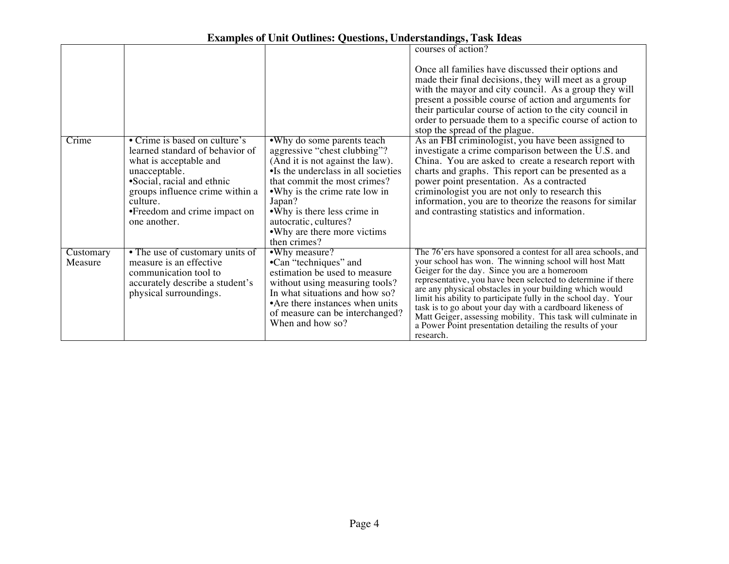|                      |                                                                                                                                                                                                                                          |                                                                                                                                                                                                                                                                                                                            | courses of action?                                                                                                                                                                                                                                                                                                                                                                                                                                                                                                                                                         |
|----------------------|------------------------------------------------------------------------------------------------------------------------------------------------------------------------------------------------------------------------------------------|----------------------------------------------------------------------------------------------------------------------------------------------------------------------------------------------------------------------------------------------------------------------------------------------------------------------------|----------------------------------------------------------------------------------------------------------------------------------------------------------------------------------------------------------------------------------------------------------------------------------------------------------------------------------------------------------------------------------------------------------------------------------------------------------------------------------------------------------------------------------------------------------------------------|
|                      |                                                                                                                                                                                                                                          |                                                                                                                                                                                                                                                                                                                            | Once all families have discussed their options and<br>made their final decisions, they will meet as a group<br>with the mayor and city council. As a group they will<br>present a possible course of action and arguments for<br>their particular course of action to the city council in<br>order to persuade them to a specific course of action to<br>stop the spread of the plague.                                                                                                                                                                                    |
| Crime                | • Crime is based on culture's<br>learned standard of behavior of<br>what is acceptable and<br>unacceptable.<br>•Social, racial and ethnic<br>groups influence crime within a<br>culture.<br>•Freedom and crime impact on<br>one another. | •Why do some parents teach<br>aggressive "chest clubbing"?<br>(And it is not against the law).<br>•Is the underclass in all societies<br>that commit the most crimes?<br>• Why is the crime rate low in<br>Japan?<br>• Why is there less crime in<br>autocratic, cultures?<br>• Why are there more victims<br>then crimes? | As an FBI criminologist, you have been assigned to<br>investigate a crime comparison between the U.S. and<br>China. You are asked to create a research report with<br>charts and graphs. This report can be presented as a<br>power point presentation. As a contracted<br>criminologist you are not only to research this<br>information, you are to theorize the reasons for similar<br>and contrasting statistics and information.                                                                                                                                      |
| Customary<br>Measure | • The use of customary units of<br>measure is an effective<br>communication tool to<br>accurately describe a student's<br>physical surroundings.                                                                                         | •Why measure?<br>•Can "techniques" and<br>estimation be used to measure<br>without using measuring tools?<br>In what situations and how so?<br>• Are there instances when units<br>of measure can be interchanged?<br>When and how so?                                                                                     | The 76'ers have sponsored a contest for all area schools, and<br>your school has won. The winning school will host Matt<br>Geiger for the day. Since you are a homeroom<br>representative, you have been selected to determine if there<br>are any physical obstacles in your building which would<br>limit his ability to participate fully in the school day. Your<br>task is to go about your day with a cardboard likeness of<br>Matt Geiger, assessing mobility. This task will culminate in<br>a Power Point presentation detailing the results of your<br>research. |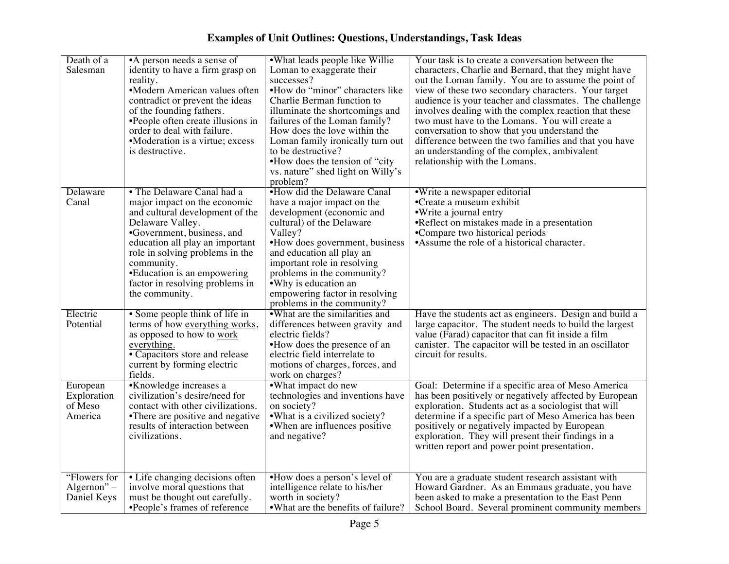| <b>Examples of Unit Outlines: Questions, Understandings, Task Ideas</b> |  |  |  |  |
|-------------------------------------------------------------------------|--|--|--|--|
|-------------------------------------------------------------------------|--|--|--|--|

| Death of a    | •A person needs a sense of                                       | •What leads people like Willie                                | Your task is to create a conversation between the                                                     |
|---------------|------------------------------------------------------------------|---------------------------------------------------------------|-------------------------------------------------------------------------------------------------------|
| Salesman      | identity to have a firm grasp on                                 | Loman to exaggerate their                                     | characters, Charlie and Bernard, that they might have                                                 |
|               | reality.                                                         | successes?                                                    | out the Loman family. You are to assume the point of                                                  |
|               | •Modern American values often                                    | •How do "minor" characters like                               | view of these two secondary characters. Your target                                                   |
|               | contradict or prevent the ideas                                  | Charlie Berman function to                                    | audience is your teacher and classmates. The challenge                                                |
|               | of the founding fathers.                                         | illuminate the shortcomings and                               | involves dealing with the complex reaction that these                                                 |
|               | •People often create illusions in<br>order to deal with failure. | failures of the Loman family?<br>How does the love within the | two must have to the Lomans. You will create a                                                        |
|               | •Moderation is a virtue; excess                                  |                                                               | conversation to show that you understand the<br>difference between the two families and that you have |
|               | is destructive.                                                  | Loman family ironically turn out<br>to be destructive?        | an understanding of the complex, ambivalent                                                           |
|               |                                                                  | •How does the tension of "city"                               | relationship with the Lomans.                                                                         |
|               |                                                                  | vs. nature" shed light on Willy's                             |                                                                                                       |
|               |                                                                  | problem?                                                      |                                                                                                       |
| Delaware      | • The Delaware Canal had a                                       | •How did the Delaware Canal                                   | •Write a newspaper editorial                                                                          |
| Canal         | major impact on the economic                                     | have a major impact on the                                    | •Create a museum exhibit                                                                              |
|               | and cultural development of the                                  | development (economic and                                     | •Write a journal entry                                                                                |
|               | Delaware Valley.                                                 | cultural) of the Delaware                                     | •Reflect on mistakes made in a presentation                                                           |
|               | •Government, business, and                                       | Valley?                                                       | •Compare two historical periods                                                                       |
|               | education all play an important                                  | •How does government, business                                | • Assume the role of a historical character.                                                          |
|               | role in solving problems in the                                  | and education all play an                                     |                                                                                                       |
|               | community.                                                       | important role in resolving                                   |                                                                                                       |
|               | • Education is an empowering                                     | problems in the community?                                    |                                                                                                       |
|               | factor in resolving problems in                                  | • Why is education an                                         |                                                                                                       |
|               | the community.                                                   | empowering factor in resolving                                |                                                                                                       |
| Electric      | • Some people think of life in                                   | problems in the community?<br>.What are the similarities and  | Have the students act as engineers. Design and build a                                                |
| Potential     | terms of how everything works,                                   | differences between gravity and                               | large capacitor. The student needs to build the largest                                               |
|               | as opposed to how to work                                        | electric fields?                                              | value (Farad) capacitor that can fit inside a film                                                    |
|               | everything.                                                      | •How does the presence of an                                  | canister. The capacitor will be tested in an oscillator                                               |
|               | • Capacitors store and release                                   | electric field interrelate to                                 | circuit for results.                                                                                  |
|               | current by forming electric                                      | motions of charges, forces, and                               |                                                                                                       |
|               | fields.                                                          | work on charges?                                              |                                                                                                       |
| European      | •Knowledge increases a                                           | •What impact do new                                           | Goal: Determine if a specific area of Meso America                                                    |
| Exploration   | civilization's desire/need for                                   | technologies and inventions have                              | has been positively or negatively affected by European                                                |
| of Meso       | contact with other civilizations.                                | on society?                                                   | exploration. Students act as a sociologist that will                                                  |
| America       | •There are positive and negative                                 | •What is a civilized society?                                 | determine if a specific part of Meso America has been                                                 |
|               | results of interaction between                                   | •When are influences positive                                 | positively or negatively impacted by European                                                         |
|               | civilizations.                                                   | and negative?                                                 | exploration. They will present their findings in a                                                    |
|               |                                                                  |                                                               | written report and power point presentation.                                                          |
|               |                                                                  |                                                               |                                                                                                       |
| "Flowers for  | • Life changing decisions often                                  | •How does a person's level of                                 | You are a graduate student research assistant with                                                    |
| Algernon" $-$ | involve moral questions that                                     | intelligence relate to his/her                                | Howard Gardner. As an Emmaus graduate, you have                                                       |
| Daniel Keys   | must be thought out carefully.                                   | worth in society?                                             | been asked to make a presentation to the East Penn                                                    |
|               | •People's frames of reference                                    | •What are the benefits of failure?                            | School Board. Several prominent community members                                                     |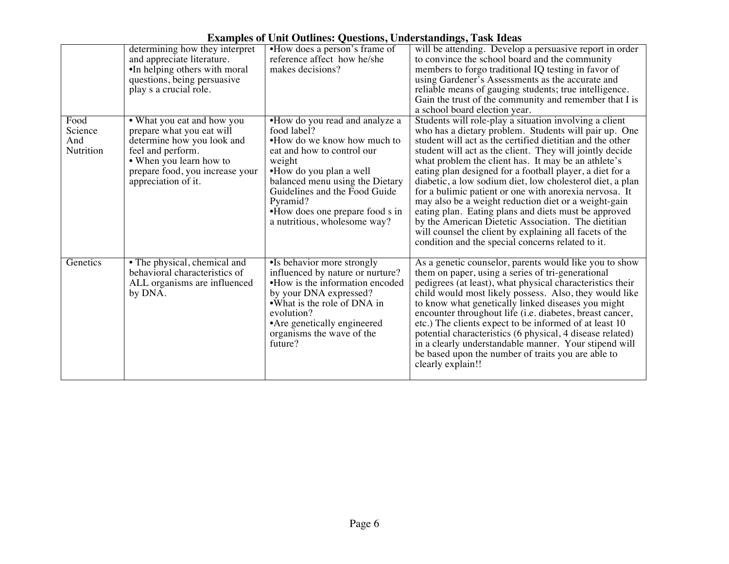|                                     | determining how they interpret<br>and appreciate literature.<br>•In helping others with moral<br>questions, being persuasive<br>play s a crucial role.                                          | •How does a person's frame of<br>reference affect how he/she<br>makes decisions?                                                                                                                                                                                                                   | will be attending. Develop a persuasive report in order<br>to convince the school board and the community<br>members to forgo traditional IQ testing in favor of<br>using Gardener's Assessments as the accurate and<br>reliable means of gauging students; true intelligence.<br>Gain the trust of the community and remember that I is<br>a school board election year.                                                                                                                                                                                                                                                                                                                                                                                                 |
|-------------------------------------|-------------------------------------------------------------------------------------------------------------------------------------------------------------------------------------------------|----------------------------------------------------------------------------------------------------------------------------------------------------------------------------------------------------------------------------------------------------------------------------------------------------|---------------------------------------------------------------------------------------------------------------------------------------------------------------------------------------------------------------------------------------------------------------------------------------------------------------------------------------------------------------------------------------------------------------------------------------------------------------------------------------------------------------------------------------------------------------------------------------------------------------------------------------------------------------------------------------------------------------------------------------------------------------------------|
| Food<br>Science<br>And<br>Nutrition | • What you eat and how you<br>prepare what you eat will<br>determine how you look and<br>feel and perform.<br>• When you learn how to<br>prepare food, you increase your<br>appreciation of it. | •How do you read and analyze a<br>food label?<br>•How do we know how much to<br>eat and how to control our<br>weight<br>•How do you plan a well<br>balanced menu using the Dietary<br>Guidelines and the Food Guide<br>Pyramid?<br>•How does one prepare food s in<br>a nutritious, wholesome way? | Students will role-play a situation involving a client<br>who has a dietary problem. Students will pair up. One<br>student will act as the certified dietitian and the other<br>student will act as the client. They will jointly decide<br>what problem the client has. It may be an athlete's<br>eating plan designed for a football player, a diet for a<br>diabetic, a low sodium diet, low cholesterol diet, a plan<br>for a bulimic patient or one with anorexia nervosa. It<br>may also be a weight reduction diet or a weight-gain<br>eating plan. Eating plans and diets must be approved<br>by the American Dietetic Association. The dietitian<br>will counsel the client by explaining all facets of the<br>condition and the special concerns related to it. |
| Genetics                            | • The physical, chemical and<br>behavioral characteristics of<br>ALL organisms are influenced<br>by DNA.                                                                                        | •Is behavior more strongly<br>influenced by nature or nurture?<br>•How is the information encoded<br>by your DNA expressed?<br>•What is the role of DNA in<br>evolution?<br>• Are genetically engineered<br>organisms the wave of the<br>future?                                                   | As a genetic counselor, parents would like you to show<br>them on paper, using a series of tri-generational<br>pedigrees (at least), what physical characteristics their<br>child would most likely possess. Also, they would like<br>to know what genetically linked diseases you might<br>encounter throughout life (i.e. diabetes, breast cancer,<br>etc.) The clients expect to be informed of at least 10<br>potential characteristics (6 physical, 4 disease related)<br>in a clearly understandable manner. Your stipend will<br>be based upon the number of traits you are able to<br>clearly explain!!                                                                                                                                                           |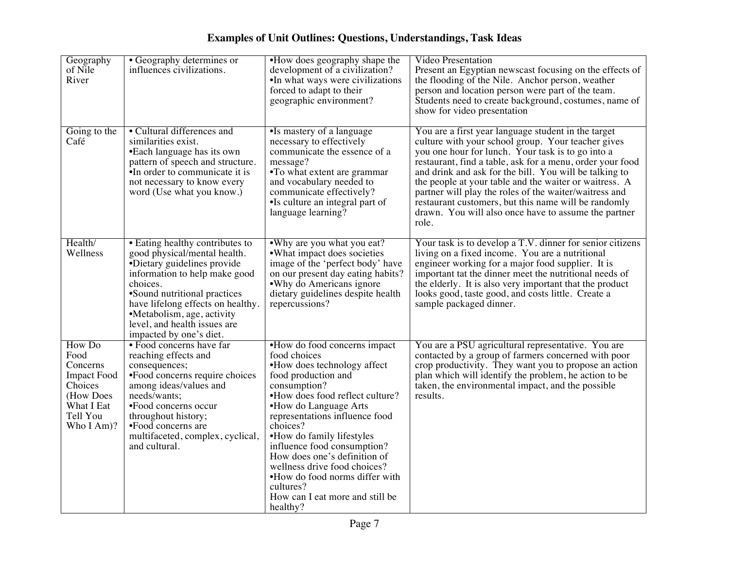| Geography<br>of Nile<br>River                                                                                    | • Geography determines or<br>influences civilizations.                                                                                                                                                                                                                                                    | •How does geography shape the<br>development of a civilization?<br>•In what ways were civilizations<br>forced to adapt to their<br>geographic environment?                                                                                                                                                                                                                                                                                             | <b>Video Presentation</b><br>Present an Egyptian newscast focusing on the effects of<br>the flooding of the Nile. Anchor person, weather<br>person and location person were part of the team.<br>Students need to create background, costumes, name of<br>show for video presentation                                                                                                                                                                                                                                              |
|------------------------------------------------------------------------------------------------------------------|-----------------------------------------------------------------------------------------------------------------------------------------------------------------------------------------------------------------------------------------------------------------------------------------------------------|--------------------------------------------------------------------------------------------------------------------------------------------------------------------------------------------------------------------------------------------------------------------------------------------------------------------------------------------------------------------------------------------------------------------------------------------------------|------------------------------------------------------------------------------------------------------------------------------------------------------------------------------------------------------------------------------------------------------------------------------------------------------------------------------------------------------------------------------------------------------------------------------------------------------------------------------------------------------------------------------------|
| Going to the<br>Café                                                                                             | • Cultural differences and<br>similarities exist.<br>•Each language has its own<br>pattern of speech and structure.<br>•In order to communicate it is<br>not necessary to know every<br>word (Use what you know.)                                                                                         | •Is mastery of a language<br>necessary to effectively<br>communicate the essence of a<br>message?<br>•To what extent are grammar<br>and vocabulary needed to<br>communicate effectively?<br>•Is culture an integral part of<br>language learning?                                                                                                                                                                                                      | You are a first year language student in the target<br>culture with your school group. Your teacher gives<br>you one hour for lunch. Your task is to go into a<br>restaurant, find a table, ask for a menu, order your food<br>and drink and ask for the bill. You will be talking to<br>the people at your table and the waiter or waitress. A<br>partner will play the roles of the waiter/waitress and<br>restaurant customers, but this name will be randomly<br>drawn. You will also once have to assume the partner<br>role. |
| Health/<br>Wellness                                                                                              | • Eating healthy contributes to<br>good physical/mental health.<br>•Dietary guidelines provide<br>information to help make good<br>choices.<br>•Sound nutritional practices<br>have lifelong effects on healthy.<br>•Metabolism, age, activity<br>level, and health issues are<br>impacted by one's diet. | •Why are you what you eat?<br>• What impact does societies<br>image of the 'perfect body' have<br>on our present day eating habits?<br>• Why do Americans ignore<br>dietary guidelines despite health<br>repercussions?                                                                                                                                                                                                                                | Your task is to develop a T.V. dinner for senior citizens<br>living on a fixed income. You are a nutritional<br>engineer working for a major food supplier. It is<br>important tat the dinner meet the nutritional needs of<br>the elderly. It is also very important that the product<br>looks good, taste good, and costs little. Create a<br>sample packaged dinner.                                                                                                                                                            |
| How Do<br>Food<br>Concerns<br><b>Impact Food</b><br>Choices<br>(How Does<br>What I Eat<br>Tell You<br>Who I Am)? | • Food concerns have far<br>reaching effects and<br>consequences;<br>•Food concerns require choices<br>among ideas/values and<br>needs/wants;<br>•Food concerns occur<br>throughout history;<br>•Food concerns are<br>multifaceted, complex, cyclical,<br>and cultural.                                   | •How do food concerns impact<br>food choices<br>•How does technology affect<br>food production and<br>consumption?<br>•How does food reflect culture?<br>•How do Language Arts<br>representations influence food<br>choices?<br>•How do family lifestyles<br>influence food consumption?<br>How does one's definition of<br>wellness drive food choices?<br>.How do food norms differ with<br>cultures?<br>How can I eat more and still be<br>healthy? | You are a PSU agricultural representative. You are<br>contacted by a group of farmers concerned with poor<br>crop productivity. They want you to propose an action<br>plan which will identify the problem, he action to be<br>taken, the environmental impact, and the possible<br>results.                                                                                                                                                                                                                                       |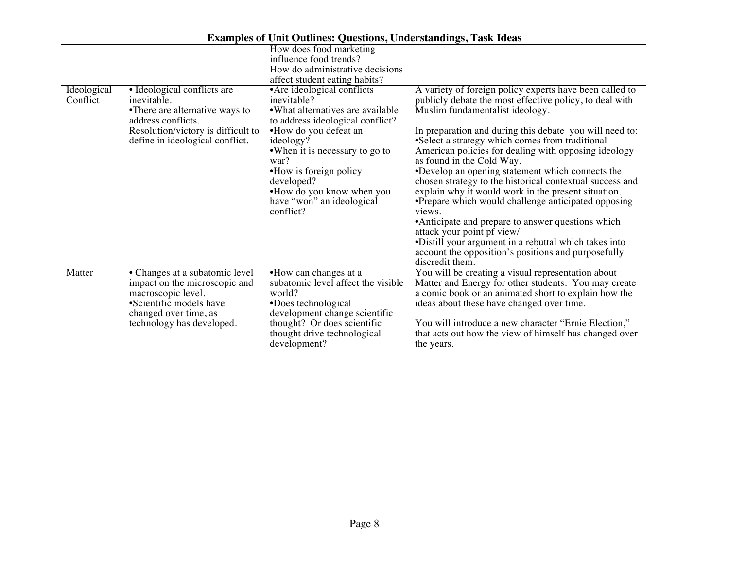|                         |                                                                                                                                                                             | How does food marketing<br>influence food trends?<br>How do administrative decisions                                                                                                                                                                                                                               |                                                                                                                                                                                                                                                                                                                                                                                                                                                                                                                                                                                                                                                                                                                                                                                                                         |
|-------------------------|-----------------------------------------------------------------------------------------------------------------------------------------------------------------------------|--------------------------------------------------------------------------------------------------------------------------------------------------------------------------------------------------------------------------------------------------------------------------------------------------------------------|-------------------------------------------------------------------------------------------------------------------------------------------------------------------------------------------------------------------------------------------------------------------------------------------------------------------------------------------------------------------------------------------------------------------------------------------------------------------------------------------------------------------------------------------------------------------------------------------------------------------------------------------------------------------------------------------------------------------------------------------------------------------------------------------------------------------------|
|                         |                                                                                                                                                                             | affect student eating habits?                                                                                                                                                                                                                                                                                      |                                                                                                                                                                                                                                                                                                                                                                                                                                                                                                                                                                                                                                                                                                                                                                                                                         |
| Ideological<br>Conflict | • Ideological conflicts are<br>inevitable.<br>•There are alternative ways to<br>address conflicts.<br>Resolution/victory is difficult to<br>define in ideological conflict. | • Are ideological conflicts<br>inevitable?<br>• What alternatives are available<br>to address ideological conflict?<br>•How do you defeat an<br>ideology?<br>•When it is necessary to go to<br>war?<br>•How is foreign policy<br>developed?<br>•How do you know when you<br>have "won" an ideological<br>conflict? | A variety of foreign policy experts have been called to<br>publicly debate the most effective policy, to deal with<br>Muslim fundamentalist ideology.<br>In preparation and during this debate you will need to:<br>•Select a strategy which comes from traditional<br>American policies for dealing with opposing ideology<br>as found in the Cold Way.<br>•Develop an opening statement which connects the<br>chosen strategy to the historical contextual success and<br>explain why it would work in the present situation.<br>•Prepare which would challenge anticipated opposing<br>views.<br>• Anticipate and prepare to answer questions which<br>attack your point pf view/<br>•Distill your argument in a rebuttal which takes into<br>account the opposition's positions and purposefully<br>discredit them. |
| Matter                  | • Changes at a subatomic level<br>impact on the microscopic and<br>macroscopic level.<br>•Scientific models have<br>changed over time, as<br>technology has developed.      | •How can changes at a<br>subatomic level affect the visible<br>world?<br>•Does technological<br>development change scientific<br>thought? Or does scientific<br>thought drive technological<br>development?                                                                                                        | You will be creating a visual representation about<br>Matter and Energy for other students. You may create<br>a comic book or an animated short to explain how the<br>ideas about these have changed over time.<br>You will introduce a new character "Ernie Election,"<br>that acts out how the view of himself has changed over<br>the years.                                                                                                                                                                                                                                                                                                                                                                                                                                                                         |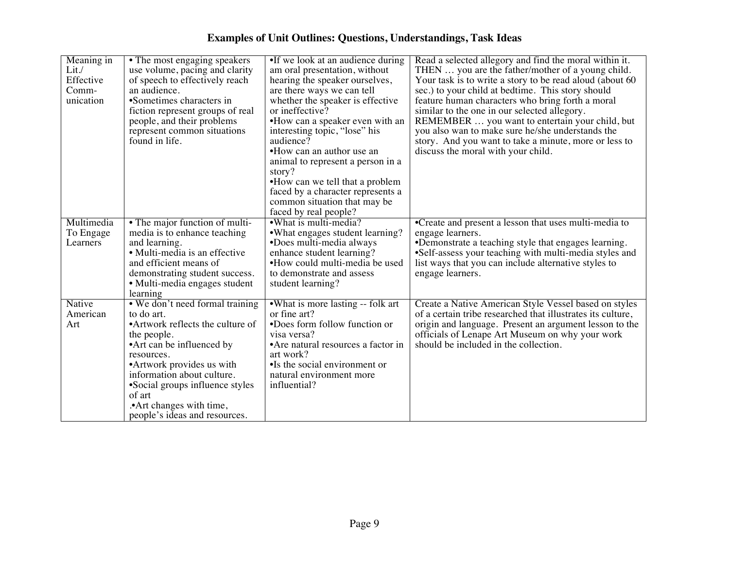| Meaning in | • The most engaging speakers                                                                                                          | •If we look at an audience during        | Read a selected allegory and find the moral within it.      |
|------------|---------------------------------------------------------------------------------------------------------------------------------------|------------------------------------------|-------------------------------------------------------------|
| Lit./      | use volume, pacing and clarity                                                                                                        | am oral presentation, without            | THEN  you are the father/mother of a young child.           |
| Effective  | of speech to effectively reach                                                                                                        | hearing the speaker ourselves,           | Your task is to write a story to be read aloud (about 60)   |
| Comm-      | an audience.                                                                                                                          | are there ways we can tell               | sec.) to your child at bedtime. This story should           |
| unication  | •Sometimes characters in                                                                                                              | whether the speaker is effective         | feature human characters who bring forth a moral            |
|            | fiction represent groups of real                                                                                                      | or ineffective?                          | similar to the one in our selected allegory.                |
|            | people, and their problems                                                                                                            | •How can a speaker even with an          | REMEMBER  you want to entertain your child, but             |
|            | represent common situations                                                                                                           | interesting topic, "lose" his            | you also wan to make sure he/she understands the            |
|            | found in life.                                                                                                                        | audience?                                | story. And you want to take a minute, more or less to       |
|            |                                                                                                                                       | •How can an author use an                | discuss the moral with your child.                          |
|            |                                                                                                                                       | animal to represent a person in a        |                                                             |
|            |                                                                                                                                       | story?                                   |                                                             |
|            |                                                                                                                                       | •How can we tell that a problem          |                                                             |
|            |                                                                                                                                       | faced by a character represents a        |                                                             |
|            |                                                                                                                                       | common situation that may be             |                                                             |
|            |                                                                                                                                       | faced by real people?                    |                                                             |
| Multimedia | • The major function of multi-                                                                                                        | •What is multi-media?                    | •Create and present a lesson that uses multi-media to       |
| To Engage  | media is to enhance teaching                                                                                                          | • What engages student learning?         | engage learners.                                            |
| Learners   | and learning.                                                                                                                         | •Does multi-media always                 | •Demonstrate a teaching style that engages learning.        |
|            | · Multi-media is an effective                                                                                                         | enhance student learning?                | •Self-assess your teaching with multi-media styles and      |
|            | and efficient means of                                                                                                                | •How could multi-media be used           | list ways that you can include alternative styles to        |
|            | demonstrating student success.                                                                                                        | to demonstrate and assess                | engage learners.                                            |
|            | · Multi-media engages student                                                                                                         | student learning?                        |                                                             |
|            | learning                                                                                                                              |                                          |                                                             |
| Native     | • We don't need formal training                                                                                                       | •What is more lasting -- folk art        | Create a Native American Style Vessel based on styles       |
| American   | to do art.                                                                                                                            | or fine art?                             | of a certain tribe researched that illustrates its culture, |
| Art        | •Artwork reflects the culture of                                                                                                      | •Does form follow function or            | origin and language. Present an argument lesson to the      |
|            | the people.                                                                                                                           | visa versa?                              | officials of Lenape Art Museum on why your work             |
|            | • Art can be influenced by                                                                                                            | • Are natural resources a factor in      | should be included in the collection.                       |
|            | resources.                                                                                                                            | art work?                                |                                                             |
|            | •Artwork provides us with                                                                                                             | •Is the social environment or            |                                                             |
|            |                                                                                                                                       |                                          |                                                             |
|            |                                                                                                                                       |                                          |                                                             |
|            |                                                                                                                                       |                                          |                                                             |
|            |                                                                                                                                       |                                          |                                                             |
|            |                                                                                                                                       |                                          |                                                             |
|            | information about culture.<br>•Social groups influence styles<br>of art<br>.• Art changes with time,<br>people's ideas and resources. | natural environment more<br>influential? |                                                             |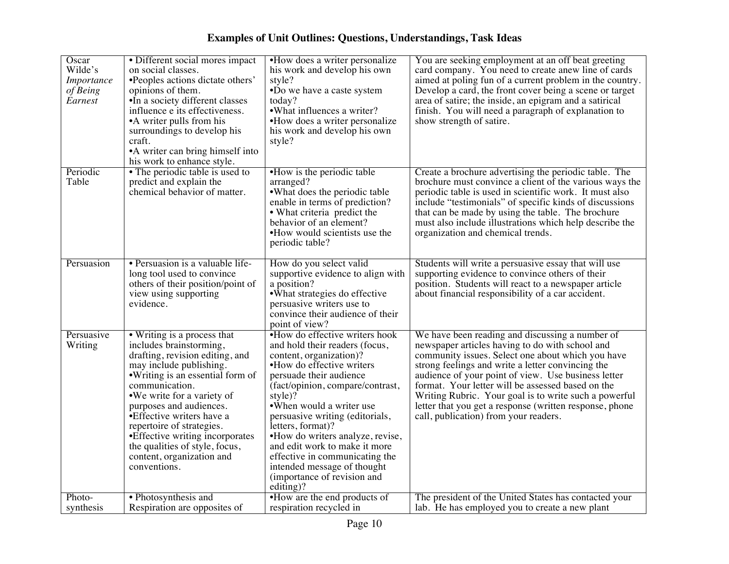| Oscar<br>Wilde's<br>Importance<br>of Being<br>Earnest | • Different social mores impact<br>on social classes.<br>•Peoples actions dictate others'<br>opinions of them.<br>•In a society different classes<br>influence e its effectiveness.<br>• A writer pulls from his<br>surroundings to develop his<br>craft.<br>•A writer can bring himself into<br>his work to enhance style.                                                                                        | •How does a writer personalize<br>his work and develop his own<br>style?<br>•Do we have a caste system<br>today?<br>• What influences a writer?<br>•How does a writer personalize<br>his work and develop his own<br>style?                                                                                                                                                                                                                                              | You are seeking employment at an off beat greeting<br>card company. You need to create anew line of cards<br>aimed at poling fun of a current problem in the country.<br>Develop a card, the front cover being a scene or target<br>area of satire; the inside, an epigram and a satirical<br>finish. You will need a paragraph of explanation to<br>show strength of satire.                                                                                                         |
|-------------------------------------------------------|--------------------------------------------------------------------------------------------------------------------------------------------------------------------------------------------------------------------------------------------------------------------------------------------------------------------------------------------------------------------------------------------------------------------|--------------------------------------------------------------------------------------------------------------------------------------------------------------------------------------------------------------------------------------------------------------------------------------------------------------------------------------------------------------------------------------------------------------------------------------------------------------------------|---------------------------------------------------------------------------------------------------------------------------------------------------------------------------------------------------------------------------------------------------------------------------------------------------------------------------------------------------------------------------------------------------------------------------------------------------------------------------------------|
| Periodic<br>Table                                     | • The periodic table is used to<br>predict and explain the<br>chemical behavior of matter.                                                                                                                                                                                                                                                                                                                         | •How is the periodic table<br>arranged?<br>•What does the periodic table<br>enable in terms of prediction?<br>• What criteria predict the<br>behavior of an element?<br>•How would scientists use the<br>periodic table?                                                                                                                                                                                                                                                 | Create a brochure advertising the periodic table. The<br>brochure must convince a client of the various ways the<br>periodic table is used in scientific work. It must also<br>include "testimonials" of specific kinds of discussions<br>that can be made by using the table. The brochure<br>must also include illustrations which help describe the<br>organization and chemical trends.                                                                                           |
| Persuasion                                            | • Persuasion is a valuable life-<br>long tool used to convince<br>others of their position/point of<br>view using supporting<br>evidence.                                                                                                                                                                                                                                                                          | How do you select valid<br>supportive evidence to align with<br>a position?<br>•What strategies do effective<br>persuasive writers use to<br>convince their audience of their<br>point of view?                                                                                                                                                                                                                                                                          | Students will write a persuasive essay that will use<br>supporting evidence to convince others of their<br>position. Students will react to a newspaper article<br>about financial responsibility of a car accident.                                                                                                                                                                                                                                                                  |
| Persuasive<br>Writing                                 | • Writing is a process that<br>includes brainstorming,<br>drafting, revision editing, and<br>may include publishing.<br>• Writing is an essential form of<br>communication.<br>•We write for a variety of<br>purposes and audiences.<br>• Effective writers have a<br>repertoire of strategies.<br>• Effective writing incorporates<br>the qualities of style, focus,<br>content, organization and<br>conventions. | •How do effective writers hook<br>and hold their readers (focus,<br>content, organization)?<br>•How do effective writers<br>persuade their audience<br>(fact/opinion, compare/contrast,<br>style)?<br>•When would a writer use<br>persuasive writing (editorials,<br>letters, format)?<br>•How do writers analyze, revise,<br>and edit work to make it more<br>effective in communicating the<br>intended message of thought<br>(importance of revision and<br>editing)? | We have been reading and discussing a number of<br>newspaper articles having to do with school and<br>community issues. Select one about which you have<br>strong feelings and write a letter convincing the<br>audience of your point of view. Use business letter<br>format. Your letter will be assessed based on the<br>Writing Rubric. Your goal is to write such a powerful<br>letter that you get a response (written response, phone<br>call, publication) from your readers. |
| Photo-<br>synthesis                                   | • Photosynthesis and<br>Respiration are opposites of                                                                                                                                                                                                                                                                                                                                                               | •How are the end products of<br>respiration recycled in                                                                                                                                                                                                                                                                                                                                                                                                                  | The president of the United States has contacted your<br>lab. He has employed you to create a new plant                                                                                                                                                                                                                                                                                                                                                                               |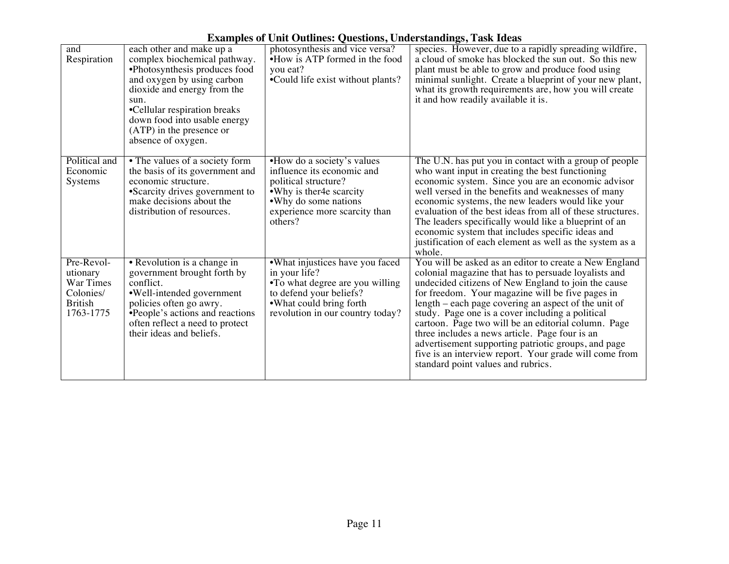| and<br>Respiration                                                              | each other and make up a<br>complex biochemical pathway.<br>•Photosynthesis produces food<br>and oxygen by using carbon<br>dioxide and energy from the<br>sun.<br>•Cellular respiration breaks<br>down food into usable energy<br>(ATP) in the presence or<br>absence of oxygen. | photosynthesis and vice versa?<br>•How is ATP formed in the food<br>you eat?<br>•Could life exist without plants?                                                                  | species. However, due to a rapidly spreading wildfire,<br>a cloud of smoke has blocked the sun out. So this new<br>plant must be able to grow and produce food using<br>minimal sunlight. Create a blueprint of your new plant,<br>what its growth requirements are, how you will create<br>it and how readily available it is.                                                                                                                                                                                                                                                                       |
|---------------------------------------------------------------------------------|----------------------------------------------------------------------------------------------------------------------------------------------------------------------------------------------------------------------------------------------------------------------------------|------------------------------------------------------------------------------------------------------------------------------------------------------------------------------------|-------------------------------------------------------------------------------------------------------------------------------------------------------------------------------------------------------------------------------------------------------------------------------------------------------------------------------------------------------------------------------------------------------------------------------------------------------------------------------------------------------------------------------------------------------------------------------------------------------|
| Political and<br>Economic<br>Systems                                            | • The values of a society form<br>the basis of its government and<br>economic structure.<br>•Scarcity drives government to<br>make decisions about the<br>distribution of resources.                                                                                             | •How do a society's values<br>influence its economic and<br>political structure?<br>• Why is ther 4e scarcity<br>• Why do some nations<br>experience more scarcity than<br>others? | The U.N. has put you in contact with a group of people<br>who want input in creating the best functioning<br>economic system. Since you are an economic advisor<br>well versed in the benefits and weaknesses of many<br>economic systems, the new leaders would like your<br>evaluation of the best ideas from all of these structures.<br>The leaders specifically would like a blueprint of an<br>economic system that includes specific ideas and<br>justification of each element as well as the system as a<br>whole.                                                                           |
| Pre-Revol-<br>utionary<br>War Times<br>Colonies/<br><b>British</b><br>1763-1775 | • Revolution is a change in<br>government brought forth by<br>conflict.<br>•Well-intended government<br>policies often go awry.<br>•People's actions and reactions<br>often reflect a need to protect<br>their ideas and beliefs.                                                | •What injustices have you faced<br>in your life?<br>•To what degree are you willing<br>to defend your beliefs?<br>• What could bring forth<br>revolution in our country today?     | You will be asked as an editor to create a New England<br>colonial magazine that has to persuade loyalists and<br>undecided citizens of New England to join the cause<br>for freedom. Your magazine will be five pages in<br>length – each page covering an aspect of the unit of<br>study. Page one is a cover including a political<br>cartoon. Page two will be an editorial column. Page<br>three includes a news article. Page four is an<br>advertisement supporting patriotic groups, and page<br>five is an interview report. Your grade will come from<br>standard point values and rubrics. |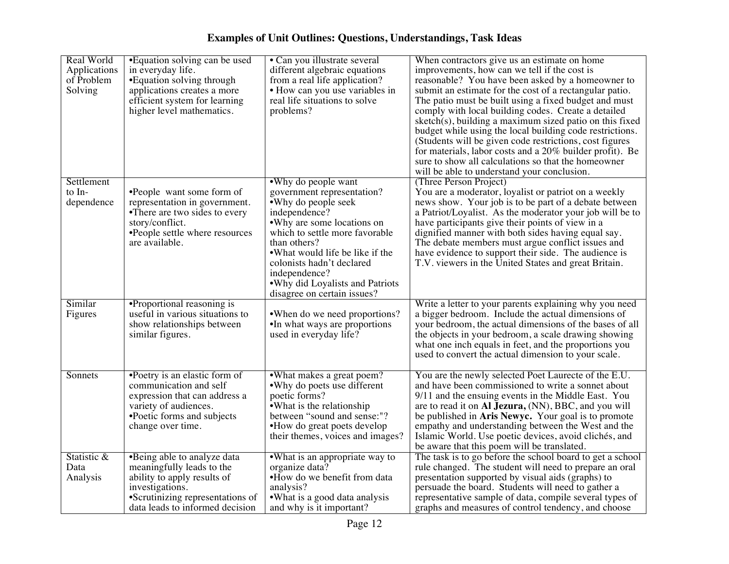| Real World<br>Applications<br>of Problem<br>Solving | •Equation solving can be used<br>in everyday life.<br>• Equation solving through<br>applications creates a more<br>efficient system for learning<br>higher level mathematics.     | • Can you illustrate several<br>different algebraic equations<br>from a real life application?<br>• How can you use variables in<br>real life situations to solve<br>problems?                                                                                                                                                 | When contractors give us an estimate on home<br>improvements, how can we tell if the cost is<br>reasonable? You have been asked by a homeowner to<br>submit an estimate for the cost of a rectangular patio.<br>The patio must be built using a fixed budget and must<br>comply with local building codes. Create a detailed<br>sketch(s), building a maximum sized patio on this fixed<br>budget while using the local building code restrictions.<br>(Students will be given code restrictions, cost figures<br>for materials, labor costs and a 20% builder profit). Be<br>sure to show all calculations so that the homeowner<br>will be able to understand your conclusion. |
|-----------------------------------------------------|-----------------------------------------------------------------------------------------------------------------------------------------------------------------------------------|--------------------------------------------------------------------------------------------------------------------------------------------------------------------------------------------------------------------------------------------------------------------------------------------------------------------------------|----------------------------------------------------------------------------------------------------------------------------------------------------------------------------------------------------------------------------------------------------------------------------------------------------------------------------------------------------------------------------------------------------------------------------------------------------------------------------------------------------------------------------------------------------------------------------------------------------------------------------------------------------------------------------------|
| Settlement<br>to In-<br>dependence                  | •People want some form of<br>representation in government.<br>•There are two sides to every<br>story/conflict.<br>•People settle where resources<br>are available.                | •Why do people want<br>government representation?<br>• Why do people seek<br>independence?<br>•Why are some locations on<br>which to settle more favorable<br>than others?<br>.What would life be like if the<br>colonists hadn't declared<br>independence?<br>. Why did Loyalists and Patriots<br>disagree on certain issues? | (Three Person Project)<br>You are a moderator, loyalist or patriot on a weekly<br>news show. Your job is to be part of a debate between<br>a Patriot/Loyalist. As the moderator your job will be to<br>have participants give their points of view in a<br>dignified manner with both sides having equal say.<br>The debate members must argue conflict issues and<br>have evidence to support their side. The audience is<br>T.V. viewers in the United States and great Britain.                                                                                                                                                                                               |
| Similar<br>Figures                                  | •Proportional reasoning is<br>useful in various situations to<br>show relationships between<br>similar figures.                                                                   | • When do we need proportions?<br>•In what ways are proportions<br>used in everyday life?                                                                                                                                                                                                                                      | Write a letter to your parents explaining why you need<br>a bigger bedroom. Include the actual dimensions of<br>your bedroom, the actual dimensions of the bases of all<br>the objects in your bedroom, a scale drawing showing<br>what one inch equals in feet, and the proportions you<br>used to convert the actual dimension to your scale.                                                                                                                                                                                                                                                                                                                                  |
| Sonnets                                             | •Poetry is an elastic form of<br>communication and self<br>expression that can address a<br>variety of audiences.<br>•Poetic forms and subjects<br>change over time.              | •What makes a great poem?<br>•Why do poets use different<br>poetic forms?<br>• What is the relationship<br>between "sound and sense:"?<br>•How do great poets develop<br>their themes, voices and images?                                                                                                                      | You are the newly selected Poet Laurecte of the E.U.<br>and have been commissioned to write a sonnet about<br>9/11 and the ensuing events in the Middle East. You<br>are to read it on Al Jezura, (NN), BBC, and you will<br>be published in Aris Newyc. Your goal is to promote<br>empathy and understanding between the West and the<br>Islamic World. Use poetic devices, avoid clichés, and<br>be aware that this poem will be translated.                                                                                                                                                                                                                                   |
| Statistic &<br>Data<br>Analysis                     | •Being able to analyze data<br>meaningfully leads to the<br>ability to apply results of<br>investigations.<br>•Scrutinizing representations of<br>data leads to informed decision | •What is an appropriate way to<br>organize data?<br>•How do we benefit from data<br>analysis?<br>.What is a good data analysis<br>and why is it important?                                                                                                                                                                     | The task is to go before the school board to get a school<br>rule changed. The student will need to prepare an oral<br>presentation supported by visual aids (graphs) to<br>persuade the board. Students will need to gather a<br>representative sample of data, compile several types of<br>graphs and measures of control tendency, and choose                                                                                                                                                                                                                                                                                                                                 |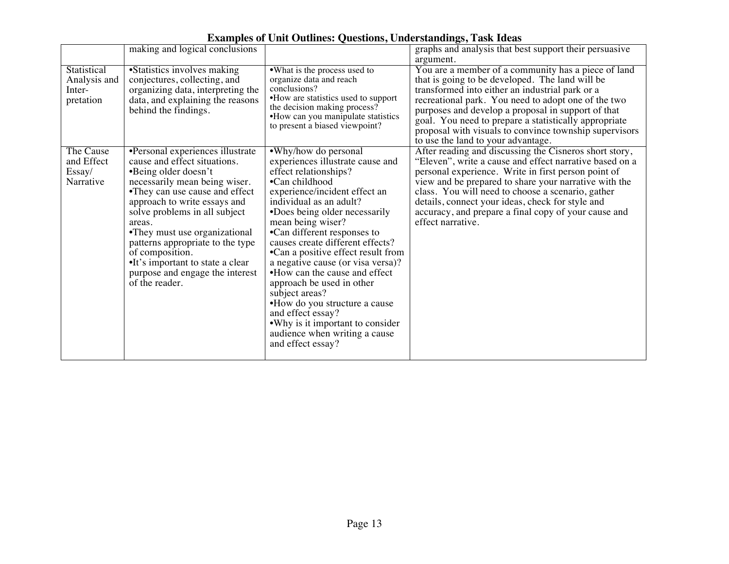|              | making and logical conclusions    |                                     | $\sigma$ /<br>graphs and analysis that best support their persuasive |
|--------------|-----------------------------------|-------------------------------------|----------------------------------------------------------------------|
|              |                                   |                                     |                                                                      |
|              |                                   |                                     | argument.                                                            |
| Statistical  | •Statistics involves making       | • What is the process used to       | You are a member of a community has a piece of land                  |
| Analysis and | conjectures, collecting, and      | organize data and reach             | that is going to be developed. The land will be                      |
| Inter-       | organizing data, interpreting the | conclusions?                        | transformed into either an industrial park or a                      |
| pretation    | data, and explaining the reasons  | •How are statistics used to support | recreational park. You need to adopt one of the two                  |
|              | behind the findings.              | the decision making process?        | purposes and develop a proposal in support of that                   |
|              |                                   | •How can you manipulate statistics  |                                                                      |
|              |                                   | to present a biased viewpoint?      | goal. You need to prepare a statistically appropriate                |
|              |                                   |                                     | proposal with visuals to convince township supervisors               |
|              |                                   |                                     | to use the land to your advantage.                                   |
| The Cause    | •Personal experiences illustrate  | •Why/how do personal                | After reading and discussing the Cisneros short story,               |
| and Effect   | cause and effect situations.      | experiences illustrate cause and    | "Eleven", write a cause and effect narrative based on a              |
| Essay/       | •Being older doesn't              | effect relationships?               | personal experience. Write in first person point of                  |
| Narrative    | necessarily mean being wiser.     | •Can childhood                      | view and be prepared to share your narrative with the                |
|              | •They can use cause and effect    | experience/incident effect an       | class. You will need to choose a scenario, gather                    |
|              | approach to write essays and      | individual as an adult?             | details, connect your ideas, check for style and                     |
|              |                                   |                                     |                                                                      |
|              | solve problems in all subject     | •Does being older necessarily       | accuracy, and prepare a final copy of your cause and                 |
|              | areas.                            | mean being wiser?                   | effect narrative.                                                    |
|              | •They must use organizational     | •Can different responses to         |                                                                      |
|              | patterns appropriate to the type  | causes create different effects?    |                                                                      |
|              | of composition.                   | •Can a positive effect result from  |                                                                      |
|              | •It's important to state a clear  | a negative cause (or visa versa)?   |                                                                      |
|              | purpose and engage the interest   | •How can the cause and effect       |                                                                      |
|              | of the reader.                    | approach be used in other           |                                                                      |
|              |                                   | subject areas?                      |                                                                      |
|              |                                   |                                     |                                                                      |
|              |                                   | •How do you structure a cause       |                                                                      |
|              |                                   | and effect essay?                   |                                                                      |
|              |                                   | •Why is it important to consider    |                                                                      |
|              |                                   | audience when writing a cause       |                                                                      |
|              |                                   | and effect essay?                   |                                                                      |
|              |                                   |                                     |                                                                      |

**Examples of Unit Outlines: Questions, Understandings, Task Ideas**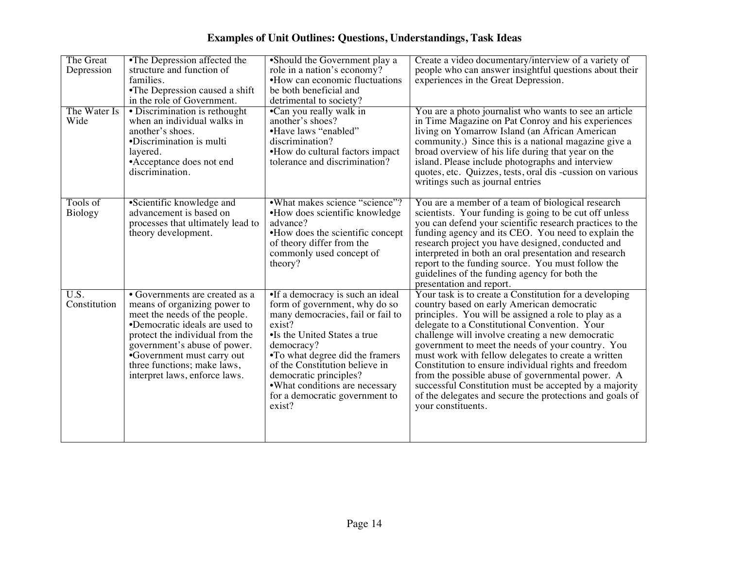| The Great<br>Depression<br>The Water Is<br>Wide | •The Depression affected the<br>structure and function of<br>families.<br>•The Depression caused a shift<br>in the role of Government.<br>• Discrimination is rethought<br>when an individual walks in<br>another's shoes.<br>•Discrimination is multi<br>layered.<br>• Acceptance does not end<br>discrimination. | •Should the Government play a<br>role in a nation's economy?<br>•How can economic fluctuations<br>be both beneficial and<br>detrimental to society?<br>•Can you really walk in<br>another's shoes?<br>•Have laws "enabled"<br>discrimination?<br>•How do cultural factors impact<br>tolerance and discrimination?                           | Create a video documentary/interview of a variety of<br>people who can answer insightful questions about their<br>experiences in the Great Depression.<br>You are a photo journalist who wants to see an article<br>in Time Magazine on Pat Conroy and his experiences<br>living on Yomarrow Island (an African American<br>community.) Since this is a national magazine give a<br>broad overview of his life during that year on the<br>island. Please include photographs and interview<br>quotes, etc. Quizzes, tests, oral dis -cussion on various<br>writings such as journal entries                                           |
|-------------------------------------------------|--------------------------------------------------------------------------------------------------------------------------------------------------------------------------------------------------------------------------------------------------------------------------------------------------------------------|---------------------------------------------------------------------------------------------------------------------------------------------------------------------------------------------------------------------------------------------------------------------------------------------------------------------------------------------|---------------------------------------------------------------------------------------------------------------------------------------------------------------------------------------------------------------------------------------------------------------------------------------------------------------------------------------------------------------------------------------------------------------------------------------------------------------------------------------------------------------------------------------------------------------------------------------------------------------------------------------|
| Tools of<br>Biology                             | •Scientific knowledge and<br>advancement is based on<br>processes that ultimately lead to<br>theory development.                                                                                                                                                                                                   | •What makes science "science"?<br>•How does scientific knowledge<br>advance?<br>•How does the scientific concept<br>of theory differ from the<br>commonly used concept of<br>theory?                                                                                                                                                        | You are a member of a team of biological research<br>scientists. Your funding is going to be cut off unless<br>you can defend your scientific research practices to the<br>funding agency and its CEO. You need to explain the<br>research project you have designed, conducted and<br>interpreted in both an oral presentation and research<br>report to the funding source. You must follow the<br>guidelines of the funding agency for both the<br>presentation and report.                                                                                                                                                        |
| $\overline{U.S.}$<br>Constitution               | • Governments are created as a<br>means of organizing power to<br>meet the needs of the people.<br>•Democratic ideals are used to<br>protect the individual from the<br>government's abuse of power.<br>•Government must carry out<br>three functions; make laws,<br>interpret laws, enforce laws.                 | •If a democracy is such an ideal<br>form of government, why do so<br>many democracies, fail or fail to<br>exist?<br>•Is the United States a true<br>democracy?<br>•To what degree did the framers<br>of the Constitution believe in<br>democratic principles?<br>•What conditions are necessary<br>for a democratic government to<br>exist? | Your task is to create a Constitution for a developing<br>country based on early American democratic<br>principles. You will be assigned a role to play as a<br>delegate to a Constitutional Convention. Your<br>challenge will involve creating a new democratic<br>government to meet the needs of your country. You<br>must work with fellow delegates to create a written<br>Constitution to ensure individual rights and freedom<br>from the possible abuse of governmental power. A<br>successful Constitution must be accepted by a majority<br>of the delegates and secure the protections and goals of<br>your constituents. |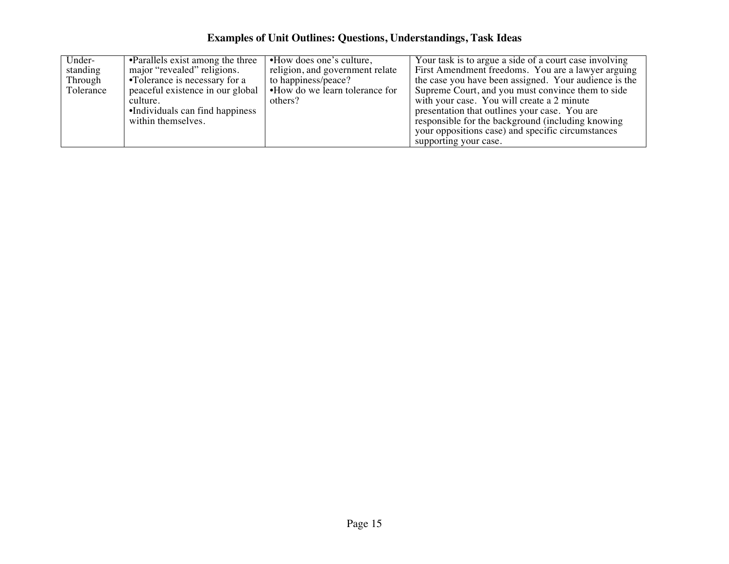| Under-    | •Parallels exist among the three | •How does one's culture,        | Your task is to argue a side of a court case involving |
|-----------|----------------------------------|---------------------------------|--------------------------------------------------------|
| standing  | major "revealed" religions.      | religion, and government relate | First Amendment freedoms. You are a lawyer arguing     |
| Through   | •Tolerance is necessary for a    | to happiness/peace?             | the case you have been assigned. Your audience is the  |
| Tolerance | peaceful existence in our global | •How do we learn tolerance for  | Supreme Court, and you must convince them to side      |
|           | culture.                         | others?                         | with your case. You will create a 2 minute             |
|           | •Individuals can find happiness  |                                 | presentation that outlines your case. You are          |
|           | within themselves.               |                                 | responsible for the background (including knowing      |
|           |                                  |                                 | your oppositions case) and specific circumstances      |
|           |                                  |                                 | supporting your case.                                  |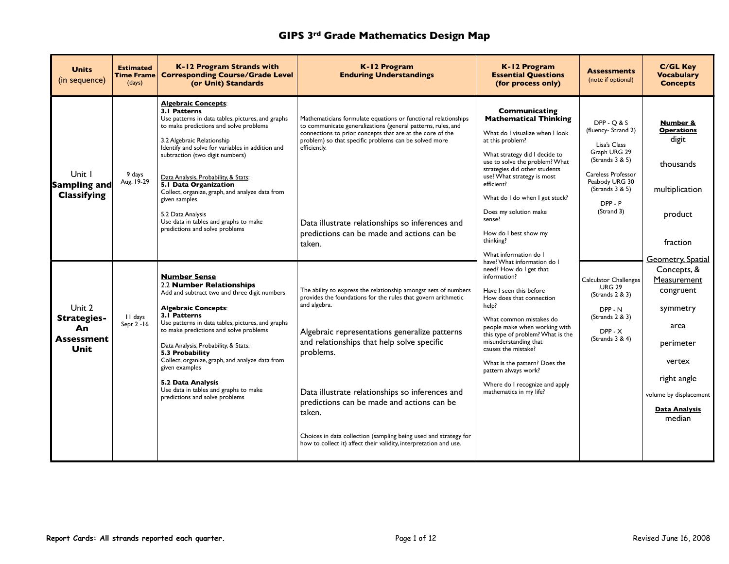| <b>Units</b><br>(in sequence)                            | <b>Estimated</b><br>Time Frame  <br>(days) | K-12 Program Strands with<br><b>Corresponding Course/Grade Level</b><br>(or Unit) Standards                                                                                                                                                                                                                                                                                                                                                                                                         | K-12 Program<br><b>Enduring Understandings</b>                                                                                                                                                                                                                                                                                                                                                                                                                                                                   | K-12 Program<br><b>Essential Questions</b><br>(for process only)                                                                                                                                                                                                                                                                                                                                              | <b>Assessments</b><br>(note if optional)                                                                                                                                  | <b>C/GL Key</b><br><b>Vocabulary</b><br><b>Concepts</b>                                                                                                                                   |
|----------------------------------------------------------|--------------------------------------------|-----------------------------------------------------------------------------------------------------------------------------------------------------------------------------------------------------------------------------------------------------------------------------------------------------------------------------------------------------------------------------------------------------------------------------------------------------------------------------------------------------|------------------------------------------------------------------------------------------------------------------------------------------------------------------------------------------------------------------------------------------------------------------------------------------------------------------------------------------------------------------------------------------------------------------------------------------------------------------------------------------------------------------|---------------------------------------------------------------------------------------------------------------------------------------------------------------------------------------------------------------------------------------------------------------------------------------------------------------------------------------------------------------------------------------------------------------|---------------------------------------------------------------------------------------------------------------------------------------------------------------------------|-------------------------------------------------------------------------------------------------------------------------------------------------------------------------------------------|
| Unit 1<br>Sampling and<br><b>Classifying</b>             | 9 days<br>Aug. 19-29                       | <b>Algebraic Concepts:</b><br>3.1 Patterns<br>Use patterns in data tables, pictures, and graphs<br>to make predictions and solve problems<br>3.2 Algebraic Relationship<br>Identify and solve for variables in addition and<br>subtraction (two digit numbers)<br>Data Analysis, Probability, & Stats:<br>5.1 Data Organization<br>Collect, organize, graph, and analyze data from<br>given samples<br>5.2 Data Analysis<br>Use data in tables and graphs to make<br>predictions and solve problems | Mathematicians formulate equations or functional relationships<br>to communicate generalizations (general patterns, rules, and<br>connections to prior concepts that are at the core of the<br>problem) so that specific problems can be solved more<br>efficiently.<br>Data illustrate relationships so inferences and<br>predictions can be made and actions can be<br>taken.                                                                                                                                  | Communicating<br><b>Mathematical Thinking</b><br>What do I visualize when I look<br>at this problem?<br>What strategy did I decide to<br>use to solve the problem? What<br>strategies did other students<br>use? What strategy is most<br>efficient?<br>What do I do when I get stuck?<br>Does my solution make<br>sense?<br>How do I best show my<br>thinking?<br>What information do I                      | $DPP - O & S$<br>(fluency- Strand 2)<br>Lisa's Class<br>Graph URG 29<br>(Strands 3 & 5)<br>Careless Professor<br>Peabody URG 30<br>(Strands 3 & 5)<br>DPP-P<br>(Strand 3) | Number &<br><b>Operations</b><br>digit<br>thousands<br>multiplication<br>product<br>fraction                                                                                              |
| Unit 2<br>Strategies-<br>An<br><b>Assessment</b><br>Unit | II days<br>Sept 2 - 16                     | <b>Number Sense</b><br>2.2 Number Relationships<br>Add and subtract two and three digit numbers<br><b>Algebraic Concepts:</b><br>3.1 Patterns<br>Use patterns in data tables, pictures, and graphs<br>to make predictions and solve problems<br>Data Analysis, Probability, & Stats:<br>5.3 Probability<br>Collect, organize, graph, and analyze data from<br>given examples<br>5.2 Data Analysis<br>Use data in tables and graphs to make<br>predictions and solve problems                        | The ability to express the relationship amongst sets of numbers<br>provides the foundations for the rules that govern arithmetic<br>and algebra.<br>Algebraic representations generalize patterns<br>and relationships that help solve specific<br>problems.<br>Data illustrate relationships so inferences and<br>predictions can be made and actions can be<br>taken.<br>Choices in data collection (sampling being used and strategy for<br>how to collect it) affect their validity, interpretation and use. | have? What information do I<br>need? How do I get that<br>information?<br>Have I seen this before<br>How does that connection<br>help?<br>What common mistakes do<br>people make when working with<br>this type of problem? What is the<br>misunderstanding that<br>causes the mistake?<br>What is the pattern? Does the<br>pattern always work?<br>Where do I recognize and apply<br>mathematics in my life? | Calculator Challenges<br><b>URG 29</b><br>(Strands 2 & 3)<br>DPP-N<br>(Strands 2 & 3)<br>$DPP - X$<br>(Strands $3 & 4$ )                                                  | <b>Geometry, Spatial</b><br>Concepts, &<br>Measurement<br>congruent<br>symmetry<br>area<br>perimeter<br>vertex<br>right angle<br>volume by displacement<br><b>Data Analysis</b><br>median |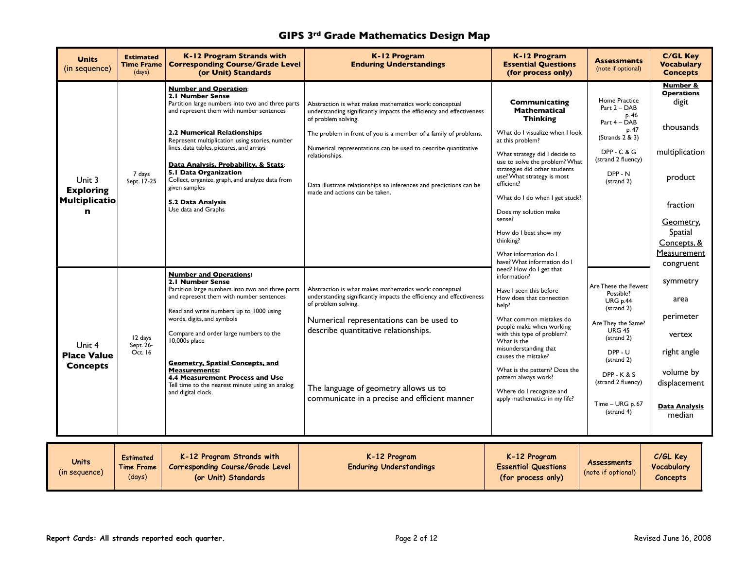| <b>Units</b><br>(in sequence)                      | <b>Estimated</b><br><b>Time Frame</b><br>(days) | K-12 Program Strands with<br><b>Corresponding Course/Grade Level</b><br>(or Unit) Standards                                                                                                                                                                                                                                                                                                                                                                        | K-12 Program<br><b>Enduring Understandings</b>                                                                                                                                                                                                                                                                                      | K-12 Program<br><b>Essential Questions</b><br>(for process only)                                                                                                                                                                                                                                                                                                                  | <b>Assessments</b><br>(note if optional)                                                                                                                                                                         | <b>C/GL Key</b><br><b>Vocabulary</b><br><b>Concepts</b>                                                               |
|----------------------------------------------------|-------------------------------------------------|--------------------------------------------------------------------------------------------------------------------------------------------------------------------------------------------------------------------------------------------------------------------------------------------------------------------------------------------------------------------------------------------------------------------------------------------------------------------|-------------------------------------------------------------------------------------------------------------------------------------------------------------------------------------------------------------------------------------------------------------------------------------------------------------------------------------|-----------------------------------------------------------------------------------------------------------------------------------------------------------------------------------------------------------------------------------------------------------------------------------------------------------------------------------------------------------------------------------|------------------------------------------------------------------------------------------------------------------------------------------------------------------------------------------------------------------|-----------------------------------------------------------------------------------------------------------------------|
|                                                    |                                                 | <b>Number and Operation:</b><br>2.1 Number Sense<br>Partition large numbers into two and three parts<br>and represent them with number sentences<br><b>2.2 Numerical Relationships</b><br>Represent multiplication using stories, number<br>lines, data tables, pictures, and arrays                                                                                                                                                                               | Abstraction is what makes mathematics work: conceptual<br>understanding significantly impacts the efficiency and effectiveness<br>of problem solving.<br>The problem in front of you is a member of a family of problems.<br>Numerical representations can be used to describe quantitative                                         | Communicating<br><b>Mathematical</b><br><b>Thinking</b><br>What do I visualize when I look<br>at this problem?                                                                                                                                                                                                                                                                    | Home Practice<br>Part 2 - DAB<br>p. 46<br>Part 4 - DAB<br>p. 47<br>(Strands 2 & 3)<br>$DPP - C & G$                                                                                                              | <b>Number &amp;</b><br><b>Operations</b><br>digit<br>thousands<br>multiplication                                      |
| Unit 3<br><b>Exploring</b><br><b>Multiplicatio</b> | 7 days<br>Sept. 17-25                           | Data Analysis, Probability, & Stats:<br>5.1 Data Organization<br>Collect, organize, graph, and analyze data from<br>given samples<br>5.2 Data Analysis<br>Use data and Graphs                                                                                                                                                                                                                                                                                      | relationships.<br>Data illustrate relationships so inferences and predictions can be<br>made and actions can be taken.                                                                                                                                                                                                              | What strategy did I decide to<br>use to solve the problem? What<br>strategies did other students<br>use? What strategy is most<br>efficient?<br>What do I do when I get stuck?                                                                                                                                                                                                    | (strand 2 fluency)<br>DPP-N<br>(strand 2)                                                                                                                                                                        | product<br>fraction                                                                                                   |
| n                                                  |                                                 |                                                                                                                                                                                                                                                                                                                                                                                                                                                                    |                                                                                                                                                                                                                                                                                                                                     | Does my solution make<br>sense?<br>How do I best show my<br>thinking?<br>What information do I<br>have? What information do I                                                                                                                                                                                                                                                     |                                                                                                                                                                                                                  | Geometry,<br><b>Spatial</b><br>Concepts, &<br>Measurement<br>congruent                                                |
| Unit 4<br><b>Place Value</b><br><b>Concepts</b>    | 12 days<br>Sept. 26-<br>Oct. 16                 | <b>Number and Operations:</b><br>2.1 Number Sense<br>Partition large numbers into two and three parts<br>and represent them with number sentences<br>Read and write numbers up to 1000 using<br>words, digits, and symbols<br>Compare and order large numbers to the<br>10,000s place<br><b>Geometry, Spatial Concepts, and</b><br><b>Measurements:</b><br>4.4 Measurement Process and Use<br>Tell time to the nearest minute using an analog<br>and digital clock | Abstraction is what makes mathematics work: conceptual<br>understanding significantly impacts the efficiency and effectiveness<br>of problem solving.<br>Numerical representations can be used to<br>describe quantitative relationships.<br>The language of geometry allows us to<br>communicate in a precise and efficient manner | need? How do I get that<br>information?<br>Have I seen this before<br>How does that connection<br>help?<br>What common mistakes do<br>people make when working<br>with this type of problem?<br>What is the<br>misunderstanding that<br>causes the mistake?<br>What is the pattern? Does the<br>pattern always work?<br>Where do I recognize and<br>apply mathematics in my life? | Are These the Fewest<br>Possible?<br>URG p.44<br>(strand 2)<br>Are They the Same?<br><b>URG 45</b><br>(strand 2)<br>DPP-U<br>(strand 2)<br>$DPP - K & S$<br>(strand 2 fluency)<br>Time - URG p. 67<br>(strand 4) | symmetry<br>area<br>perimeter<br>vertex<br>right angle<br>volume by<br>displacement<br><b>Data Analysis</b><br>median |
| <b>Units</b><br>(in sequence)                      | <b>Estimated</b><br><b>Time Frame</b><br>11.3   | K-12 Program Strands with<br>Corresponding Course/Grade Level<br>$\mathbf{z}$ and $\mathbf{z}$ are the set of $\mathbf{z}$ and $\mathbf{z}$ are the set of $\mathbf{z}$                                                                                                                                                                                                                                                                                            | K-12 Program<br><b>Enduring Understandings</b>                                                                                                                                                                                                                                                                                      | K-12 Program<br><b>Essential Questions</b><br>$\mathbf{r}$ and $\mathbf{r}$ and $\mathbf{r}$ and $\mathbf{r}$                                                                                                                                                                                                                                                                     | <b>Assessments</b><br>(note if optional)                                                                                                                                                                         | C/GL Key<br>Vocabulary                                                                                                |

(days)

**(or Unit) Standards**

**(for process only)**

**Concepts**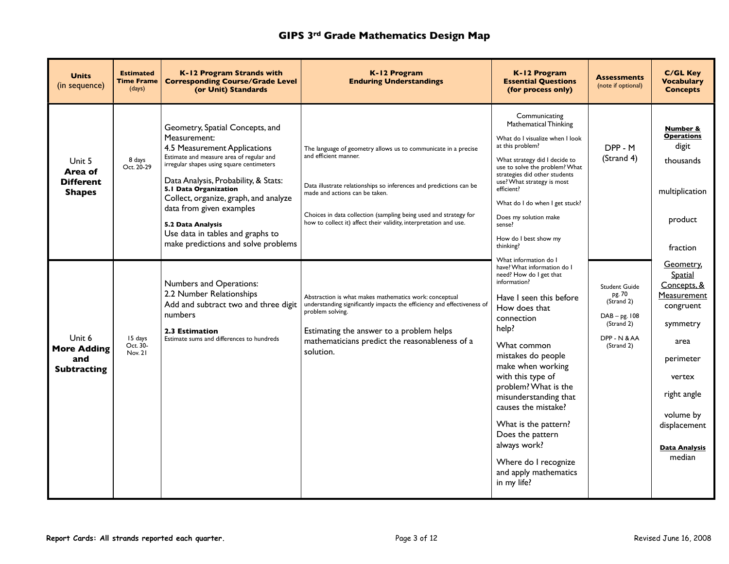| <b>Units</b><br>(in sequence)                             | <b>Estimated</b><br><b>Time Frame</b><br>(days) | K-12 Program Strands with<br><b>Corresponding Course/Grade Level</b><br>(or Unit) Standards                                                                                                                                                                                                                                                                                                                    | K-12 Program<br><b>Enduring Understandings</b>                                                                                                                                                                                                                                                                                           | K-12 Program<br><b>Essential Questions</b><br>(for process only)                                                                                                                                                                                                                                                                                                                                                                                      | <b>Assessments</b><br>(note if optional)                                                             | <b>C/GL Key</b><br><b>Vocabulary</b><br><b>Concepts</b>                                                                                                                                  |
|-----------------------------------------------------------|-------------------------------------------------|----------------------------------------------------------------------------------------------------------------------------------------------------------------------------------------------------------------------------------------------------------------------------------------------------------------------------------------------------------------------------------------------------------------|------------------------------------------------------------------------------------------------------------------------------------------------------------------------------------------------------------------------------------------------------------------------------------------------------------------------------------------|-------------------------------------------------------------------------------------------------------------------------------------------------------------------------------------------------------------------------------------------------------------------------------------------------------------------------------------------------------------------------------------------------------------------------------------------------------|------------------------------------------------------------------------------------------------------|------------------------------------------------------------------------------------------------------------------------------------------------------------------------------------------|
| Unit 5<br>Area of<br><b>Different</b><br><b>Shapes</b>    | 8 days<br>Oct. 20-29                            | Geometry, Spatial Concepts, and<br>Measurement:<br>4.5 Measurement Applications<br>Estimate and measure area of regular and<br>irregular shapes using square centimeters<br>Data Analysis, Probability, & Stats:<br>5.1 Data Organization<br>Collect, organize, graph, and analyze<br>data from given examples<br>5.2 Data Analysis<br>Use data in tables and graphs to<br>make predictions and solve problems | The language of geometry allows us to communicate in a precise<br>and efficient manner.<br>Data illustrate relationships so inferences and predictions can be<br>made and actions can be taken.<br>Choices in data collection (sampling being used and strategy for<br>how to collect it) affect their validity, interpretation and use. | Communicating<br>Mathematical Thinking<br>What do I visualize when I look<br>at this problem?<br>What strategy did I decide to<br>use to solve the problem? What<br>strategies did other students<br>use? What strategy is most<br>efficient?<br>What do I do when I get stuck?<br>Does my solution make<br>sense?<br>How do I best show my<br>thinking?                                                                                              | DPP - M<br>(Strand 4)                                                                                | Number &<br><b>Operations</b><br>digit<br>thousands<br>multiplication<br>product<br>fraction                                                                                             |
| Unit 6<br><b>More Adding</b><br>and<br><b>Subtracting</b> | 15 days<br>Oct. 30-<br>Nov. 21                  | Numbers and Operations:<br>2.2 Number Relationships<br>Add and subtract two and three digit<br>numbers<br><b>2.3 Estimation</b><br>Estimate sums and differences to hundreds                                                                                                                                                                                                                                   | Abstraction is what makes mathematics work: conceptual<br>understanding significantly impacts the efficiency and effectiveness of<br>problem solving.<br>Estimating the answer to a problem helps<br>mathematicians predict the reasonableness of a<br>solution.                                                                         | What information do I<br>have? What information do I<br>need? How do I get that<br>information?<br>Have I seen this before<br>How does that<br>connection<br>help?<br>What common<br>mistakes do people<br>make when working<br>with this type of<br>problem? What is the<br>misunderstanding that<br>causes the mistake?<br>What is the pattern?<br>Does the pattern<br>always work?<br>Where do I recognize<br>and apply mathematics<br>in my life? | Student Guide<br>pg. 70<br>(Strand 2)<br>$DAB - pg.$ 108<br>(Strand 2)<br>DPP - N & AA<br>(Strand 2) | Geometry,<br>Spatial<br>Concepts, &<br>Measurement<br>congruent<br>symmetry<br>area<br>perimeter<br>vertex<br>right angle<br>volume by<br>displacement<br><b>Data Analysis</b><br>median |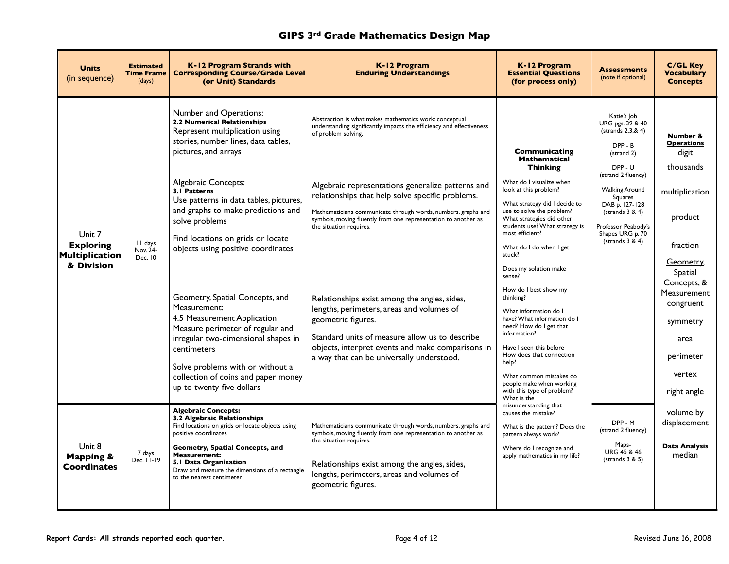| <b>Units</b><br>(in sequence)                                     | <b>Estimated</b><br><b>Time Frame</b><br>(days) | K-12 Program Strands with<br><b>Corresponding Course/Grade Level</b><br>(or Unit) Standards                                                                                                                                                                                                                                                                                                                                                                                                                                                                                                                                                                           | K-12 Program<br><b>Enduring Understandings</b>                                                                                                                                                                                                                                                                                                                                                                                                                                                                                                                                                                                                                                                      | K-12 Program<br><b>Essential Questions</b><br>(for process only)                                                                                                                                                                                                                                                                                                                                                                                                                                                                                                                                                                                    | <b>Assessments</b><br>(note if optional)                                                                                                                                                                                                             | <b>C/GL Key</b><br><b>Vocabulary</b><br><b>Concepts</b>                                                                                                                                                                   |
|-------------------------------------------------------------------|-------------------------------------------------|-----------------------------------------------------------------------------------------------------------------------------------------------------------------------------------------------------------------------------------------------------------------------------------------------------------------------------------------------------------------------------------------------------------------------------------------------------------------------------------------------------------------------------------------------------------------------------------------------------------------------------------------------------------------------|-----------------------------------------------------------------------------------------------------------------------------------------------------------------------------------------------------------------------------------------------------------------------------------------------------------------------------------------------------------------------------------------------------------------------------------------------------------------------------------------------------------------------------------------------------------------------------------------------------------------------------------------------------------------------------------------------------|-----------------------------------------------------------------------------------------------------------------------------------------------------------------------------------------------------------------------------------------------------------------------------------------------------------------------------------------------------------------------------------------------------------------------------------------------------------------------------------------------------------------------------------------------------------------------------------------------------------------------------------------------------|------------------------------------------------------------------------------------------------------------------------------------------------------------------------------------------------------------------------------------------------------|---------------------------------------------------------------------------------------------------------------------------------------------------------------------------------------------------------------------------|
| Unit 7<br><b>Exploring</b><br><b>Multiplication</b><br>& Division | II days<br>Nov. 24-<br>Dec. 10                  | <b>Number and Operations:</b><br>2.2 Numerical Relationships<br>Represent multiplication using<br>stories, number lines, data tables,<br>pictures, and arrays<br>Algebraic Concepts:<br>3.1 Patterns<br>Use patterns in data tables, pictures,<br>and graphs to make predictions and<br>solve problems<br>Find locations on grids or locate<br>objects using positive coordinates<br>Geometry, Spatial Concepts, and<br>Measurement:<br>4.5 Measurement Application<br>Measure perimeter of regular and<br>irregular two-dimensional shapes in<br>centimeters<br>Solve problems with or without a<br>collection of coins and paper money<br>up to twenty-five dollars | Abstraction is what makes mathematics work: conceptual<br>understanding significantly impacts the efficiency and effectiveness<br>of problem solving.<br>Algebraic representations generalize patterns and<br>relationships that help solve specific problems.<br>Mathematicians communicate through words, numbers, graphs and<br>symbols, moving fluently from one representation to another as<br>the situation requires.<br>Relationships exist among the angles, sides,<br>lengths, perimeters, areas and volumes of<br>geometric figures.<br>Standard units of measure allow us to describe<br>objects, interpret events and make comparisons in<br>a way that can be universally understood. | Communicating<br><b>Mathematical</b><br><b>Thinking</b><br>What do I visualize when I<br>look at this problem?<br>What strategy did I decide to<br>use to solve the problem?<br>What strategies did other<br>students use? What strategy is<br>most efficient?<br>What do I do when I get<br>stuck?<br>Does my solution make<br>sense?<br>How do I best show my<br>thinking?<br>What information do I<br>have? What information do I<br>need? How do I get that<br>information?<br>Have I seen this before<br>How does that connection<br>help?<br>What common mistakes do<br>people make when working<br>with this type of problem?<br>What is the | Katie's Job<br>URG pgs. 39 & 40<br>(strands 2,3,8,4)<br>DPP-B<br>(strand 2)<br>DPP-U<br>(strand 2 fluency)<br><b>Walking Around</b><br>Squares<br>DAB p. 127-128<br>(strands $3 & 4$ )<br>Professor Peabody's<br>Shapes URG p. 70<br>(strands 3 & 4) | Number &<br><b>Operations</b><br>digit<br>thousands<br>multiplication<br>product<br>fraction<br>Geometry,<br>Spatial<br>Concepts, &<br>Measurement<br>congruent<br>symmetry<br>area<br>perimeter<br>vertex<br>right angle |
| Unit 8<br><b>Mapping &amp;</b><br>Coordinates                     | 7 days<br>Dec. 11-19                            | <b>Algebraic Concepts:</b><br>3.2 Algebraic Relationships<br>Find locations on grids or locate objects using<br>positive coordinates<br><b>Geometry, Spatial Concepts, and</b><br><b>Measurement:</b><br>5.1 Data Organization<br>Draw and measure the dimensions of a rectangle<br>to the nearest centimeter                                                                                                                                                                                                                                                                                                                                                         | Mathematicians communicate through words, numbers, graphs and<br>symbols, moving fluently from one representation to another as<br>the situation requires.<br>Relationships exist among the angles, sides,<br>lengths, perimeters, areas and volumes of<br>geometric figures.                                                                                                                                                                                                                                                                                                                                                                                                                       | misunderstanding that<br>causes the mistake?<br>What is the pattern? Does the<br>pattern always work?<br>Where do I recognize and<br>apply mathematics in my life?                                                                                                                                                                                                                                                                                                                                                                                                                                                                                  | DPP-M<br>(strand 2 fluency)<br>Maps-<br>URG 45 & 46<br>(strands 3 & 5)                                                                                                                                                                               | volume by<br>displacement<br><b>Data Analysis</b><br>median                                                                                                                                                               |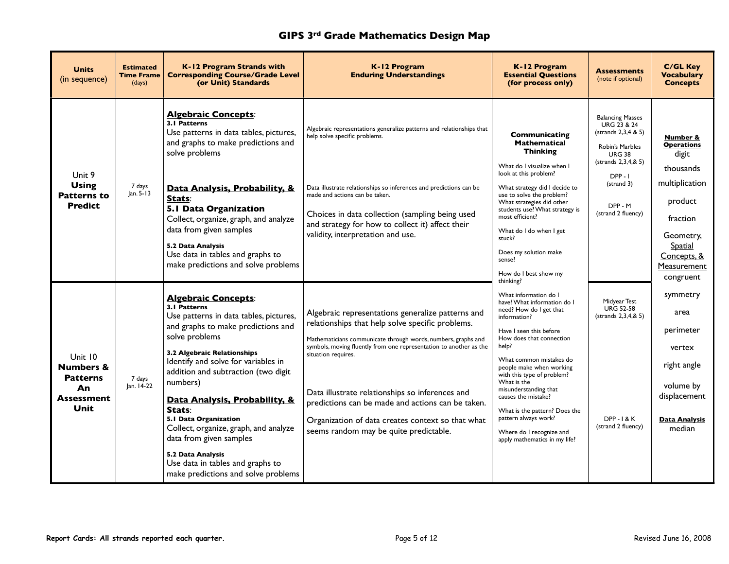| <b>Units</b><br>(in sequence)                                                  | <b>Estimated</b><br><b>Time Frame</b><br>(days) | K-12 Program Strands with<br><b>Corresponding Course/Grade Level</b><br>(or Unit) Standards                                                                                                                                                                                                                                                                                                                                                                                                                   | K-12 Program<br><b>Enduring Understandings</b>                                                                                                                                                                                                                                                                                                                                                                                                                             | K-12 Program<br><b>Essential Questions</b><br>(for process only)                                                                                                                                                                                                                                                                                                                                                                          | <b>Assessments</b><br>(note if optional)                                                                                                                                                        | <b>C/GL Key</b><br><b>Vocabulary</b><br><b>Concepts</b>                                                                                                         |
|--------------------------------------------------------------------------------|-------------------------------------------------|---------------------------------------------------------------------------------------------------------------------------------------------------------------------------------------------------------------------------------------------------------------------------------------------------------------------------------------------------------------------------------------------------------------------------------------------------------------------------------------------------------------|----------------------------------------------------------------------------------------------------------------------------------------------------------------------------------------------------------------------------------------------------------------------------------------------------------------------------------------------------------------------------------------------------------------------------------------------------------------------------|-------------------------------------------------------------------------------------------------------------------------------------------------------------------------------------------------------------------------------------------------------------------------------------------------------------------------------------------------------------------------------------------------------------------------------------------|-------------------------------------------------------------------------------------------------------------------------------------------------------------------------------------------------|-----------------------------------------------------------------------------------------------------------------------------------------------------------------|
| Unit 9<br><b>Using</b><br><b>Patterns to</b><br><b>Predict</b>                 | 7 days<br>Jan. 5-13                             | <b>Algebraic Concepts:</b><br>3.1 Patterns<br>Use patterns in data tables, pictures,<br>and graphs to make predictions and<br>solve problems<br>Data Analysis, Probability, &<br>Stats:<br>5.1 Data Organization<br>Collect, organize, graph, and analyze<br>data from given samples<br>5.2 Data Analysis<br>Use data in tables and graphs to<br>make predictions and solve problems                                                                                                                          | Algebraic representations generalize patterns and relationships that<br>help solve specific problems.<br>Data illustrate relationships so inferences and predictions can be<br>made and actions can be taken.<br>Choices in data collection (sampling being used<br>and strategy for how to collect it) affect their<br>validity, interpretation and use.                                                                                                                  | <b>Communicating</b><br><b>Mathematical</b><br><b>Thinking</b><br>What do I visualize when I<br>look at this problem?<br>What strategy did I decide to<br>use to solve the problem?<br>What strategies did other<br>students use? What strategy is<br>most efficient?<br>What do I do when I get<br>stuck?<br>Does my solution make<br>sense?<br>How do I best show my<br>thinking?                                                       | <b>Balancing Masses</b><br><b>URG 23 &amp; 24</b><br>(strands 2,3,4 & 5)<br>Robin's Marbles<br><b>URG 38</b><br>(strands 2,3,4,& 5)<br>$DPP - I$<br>(strand 3)<br>DPP - M<br>(strand 2 fluency) | Number &<br><b>Operations</b><br>digit<br>thousands<br>multiplication<br>product<br>fraction<br>Geometry,<br>Spatial<br>Concepts, &<br>Measurement<br>congruent |
| Unit 10<br><b>Numbers &amp;</b><br><b>Patterns</b><br>An<br>Assessment<br>Unit | 7 days<br>Jan. 14-22                            | <b>Algebraic Concepts:</b><br>3.1 Patterns<br>Use patterns in data tables, pictures,<br>and graphs to make predictions and<br>solve problems<br>3.2 Algebraic Relationships<br>Identify and solve for variables in<br>addition and subtraction (two digit<br>numbers)<br>Data Analysis, Probability, &<br>Stats:<br>5.1 Data Organization<br>Collect, organize, graph, and analyze<br>data from given samples<br>5.2 Data Analysis<br>Use data in tables and graphs to<br>make predictions and solve problems | Algebraic representations generalize patterns and<br>relationships that help solve specific problems.<br>Mathematicians communicate through words, numbers, graphs and<br>symbols, moving fluently from one representation to another as the<br>situation requires.<br>Data illustrate relationships so inferences and<br>predictions can be made and actions can be taken.<br>Organization of data creates context so that what<br>seems random may be quite predictable. | What information do I<br>have? What information do I<br>need? How do I get that<br>information?<br>Have I seen this before<br>How does that connection<br>help?<br>What common mistakes do<br>people make when working<br>with this type of problem?<br>What is the<br>misunderstanding that<br>causes the mistake?<br>What is the pattern? Does the<br>pattern always work?<br>Where do I recognize and<br>apply mathematics in my life? | Midyear Test<br><b>URG 52-58</b><br>(strands 2,3,4,& 5)<br><b>DPP-1&amp;K</b><br>(strand 2 fluency)                                                                                             | symmetry<br>area<br>perimeter<br>vertex<br>right angle<br>volume by<br>displacement<br><b>Data Analysis</b><br>median                                           |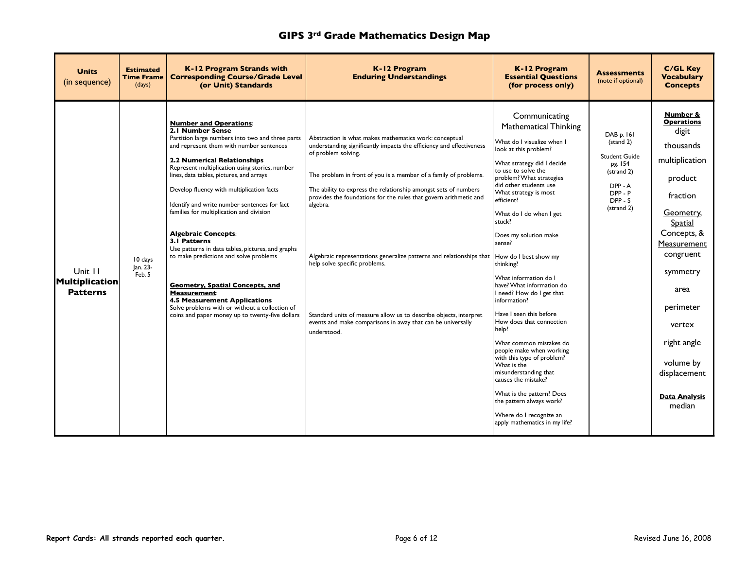| <b>Units</b><br>(in sequence)                       | <b>Estimated</b><br><b>Time Frame</b><br>(days) | <b>K-12 Program Strands with</b><br><b>Corresponding Course/Grade Level</b><br>(or Unit) Standards                                                                                                                                                                                                                                                                                                                                                                                                                                                                                                                                                                                                                                                                                       | K-12 Program<br><b>Enduring Understandings</b>                                                                                                                                                                                                                                                                                                                                                                                                                                                                                                                                                                                                                      | K-12 Program<br><b>Essential Questions</b><br>(for process only)                                                                                                                                                                                                                                                                                                                                                                                                                                                                                                                                                                                                                                                                                                                        | <b>Assessments</b><br>(note if optional)                                                                   | <b>C/GL Key</b><br><b>Vocabulary</b><br><b>Concepts</b>                                                                                                                                                                                                                                  |
|-----------------------------------------------------|-------------------------------------------------|------------------------------------------------------------------------------------------------------------------------------------------------------------------------------------------------------------------------------------------------------------------------------------------------------------------------------------------------------------------------------------------------------------------------------------------------------------------------------------------------------------------------------------------------------------------------------------------------------------------------------------------------------------------------------------------------------------------------------------------------------------------------------------------|---------------------------------------------------------------------------------------------------------------------------------------------------------------------------------------------------------------------------------------------------------------------------------------------------------------------------------------------------------------------------------------------------------------------------------------------------------------------------------------------------------------------------------------------------------------------------------------------------------------------------------------------------------------------|-----------------------------------------------------------------------------------------------------------------------------------------------------------------------------------------------------------------------------------------------------------------------------------------------------------------------------------------------------------------------------------------------------------------------------------------------------------------------------------------------------------------------------------------------------------------------------------------------------------------------------------------------------------------------------------------------------------------------------------------------------------------------------------------|------------------------------------------------------------------------------------------------------------|------------------------------------------------------------------------------------------------------------------------------------------------------------------------------------------------------------------------------------------------------------------------------------------|
| Unit 11<br><b>Multiplication</b><br><b>Patterns</b> | 10 days<br>Jan. 23-<br>Feb. 5                   | <b>Number and Operations:</b><br>2.1 Number Sense<br>Partition large numbers into two and three parts<br>and represent them with number sentences<br><b>2.2 Numerical Relationships</b><br>Represent multiplication using stories, number<br>lines, data tables, pictures, and arrays<br>Develop fluency with multiplication facts<br>Identify and write number sentences for fact<br>families for multiplication and division<br><b>Algebraic Concepts:</b><br>3.1 Patterns<br>Use patterns in data tables, pictures, and graphs<br>to make predictions and solve problems<br><b>Geometry, Spatial Concepts, and</b><br><b>Measurement:</b><br><b>4.5 Measurement Applications</b><br>Solve problems with or without a collection of<br>coins and paper money up to twenty-five dollars | Abstraction is what makes mathematics work: conceptual<br>understanding significantly impacts the efficiency and effectiveness<br>of problem solving.<br>The problem in front of you is a member of a family of problems.<br>The ability to express the relationship amongst sets of numbers<br>provides the foundations for the rules that govern arithmetic and<br>algebra.<br>Algebraic representations generalize patterns and relationships that $ $ How do I best show my<br>help solve specific problems.<br>Standard units of measure allow us to describe objects, interpret<br>events and make comparisons in away that can be universally<br>understood. | Communicating<br><b>Mathematical Thinking</b><br>What do I visualize when I<br>look at this problem?<br>What strategy did I decide<br>to use to solve the<br>problem? What strategies<br>did other students use<br>What strategy is most<br>efficient?<br>What do I do when I get<br>stuck?<br>Does my solution make<br>sense?<br>thinking?<br>What information do I<br>have? What information do<br>I need? How do I get that<br>information?<br>Have I seen this before<br>How does that connection<br>help?<br>What common mistakes do<br>people make when working<br>with this type of problem?<br>What is the<br>misunderstanding that<br>causes the mistake?<br>What is the pattern? Does<br>the pattern always work?<br>Where do I recognize an<br>apply mathematics in my life? | DAB p. 161<br>(stand 2)<br>Student Guide<br>pg. 154<br>(strand 2)<br>DPP-A<br>DPP-P<br>DPP-S<br>(strand 2) | Number &<br><b>Operations</b><br>digit<br>thousands<br>multiplication<br>product<br>fraction<br>Geometry,<br><b>Spatial</b><br>Concepts, &<br>Measurement<br>congruent<br>symmetry<br>area<br>perimeter<br>vertex<br>right angle<br>volume by<br>displacement<br>Data Analysis<br>median |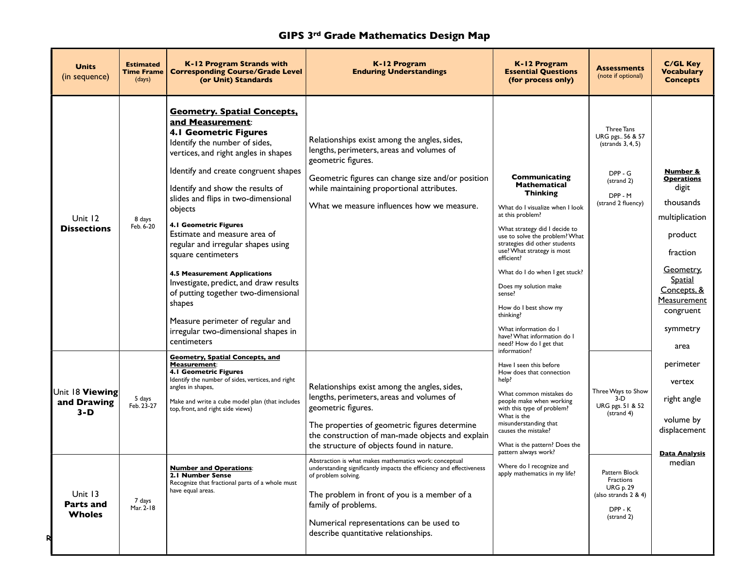| <b>Units</b><br>(in sequence)                                                           | <b>Estimated</b><br><b>Time Frame</b><br>(days) | K-12 Program Strands with<br><b>Corresponding Course/Grade Level</b><br>(or Unit) Standards                                                                                                                                                                                                                                                                                                                                                                                                                                                                                                                                                           | K-12 Program<br><b>Enduring Understandings</b>                                                                                                                                                                                                                                                                                                                                                                                                                                                                                                                                        | K-12 Program<br><b>Essential Questions</b><br>(for process only)                                                                                                                                                                                                                                                                                                                                                                                                    | <b>Assessments</b><br>(note if optional)                                                                                                                          | <b>C/GL Key</b><br><b>Vocabulary</b><br><b>Concepts</b>                                                                                                                                    |
|-----------------------------------------------------------------------------------------|-------------------------------------------------|-------------------------------------------------------------------------------------------------------------------------------------------------------------------------------------------------------------------------------------------------------------------------------------------------------------------------------------------------------------------------------------------------------------------------------------------------------------------------------------------------------------------------------------------------------------------------------------------------------------------------------------------------------|---------------------------------------------------------------------------------------------------------------------------------------------------------------------------------------------------------------------------------------------------------------------------------------------------------------------------------------------------------------------------------------------------------------------------------------------------------------------------------------------------------------------------------------------------------------------------------------|---------------------------------------------------------------------------------------------------------------------------------------------------------------------------------------------------------------------------------------------------------------------------------------------------------------------------------------------------------------------------------------------------------------------------------------------------------------------|-------------------------------------------------------------------------------------------------------------------------------------------------------------------|--------------------------------------------------------------------------------------------------------------------------------------------------------------------------------------------|
| Unit 12<br><b>Dissections</b>                                                           | 8 days<br>Feb. 6-20                             | <b>Geometry. Spatial Concepts,</b><br>and Measurement:<br><b>4.1 Geometric Figures</b><br>Identify the number of sides,<br>vertices, and right angles in shapes<br>Identify and create congruent shapes<br>Identify and show the results of<br>slides and flips in two-dimensional<br>objects<br><b>4.1 Geometric Figures</b><br>Estimate and measure area of<br>regular and irregular shapes using<br>square centimeters<br><b>4.5 Measurement Applications</b><br>Investigate, predict, and draw results<br>of putting together two-dimensional<br>shapes<br>Measure perimeter of regular and<br>irregular two-dimensional shapes in<br>centimeters | Relationships exist among the angles, sides,<br>lengths, perimeters, areas and volumes of<br>geometric figures.<br>Geometric figures can change size and/or position<br>while maintaining proportional attributes.<br>What we measure influences how we measure.                                                                                                                                                                                                                                                                                                                      | <b>Communicating</b><br><b>Mathematical</b><br><b>Thinking</b><br>What do I visualize when I look<br>at this problem?<br>What strategy did I decide to<br>use to solve the problem? What<br>strategies did other students<br>use? What strategy is most<br>efficient?<br>What do I do when I get stuck?<br>Does my solution make<br>sense?<br>How do I best show my<br>thinking?<br>What information do I<br>have? What information do I<br>need? How do I get that | Three Tans<br>URG pgs., 56 & 57<br>(strands 3, 4, 5)<br>DPP - G<br>(strand 2)<br>DPP - M<br>(strand 2 fluency)                                                    | Number &<br><b>Operations</b><br>digit<br>thousands<br>multiplication<br>product<br>fraction<br>Geometry,<br><b>Spatial</b><br>Concepts, &<br>Measurement<br>congruent<br>symmetry<br>area |
| Unit 18 Viewing<br>and Drawing<br>$3-D$<br>Unit 13<br><b>Parts and</b><br><b>Wholes</b> | 5 days<br>Feb. 23-27<br>7 days<br>Mar. 2-18     | <b>Geometry, Spatial Concepts, and</b><br>Measurement:<br><b>4.1 Geometric Figures</b><br>Identify the number of sides, vertices, and right<br>angles in shapes,<br>Make and write a cube model plan (that includes<br>top, front, and right side views)<br><b>Number and Operations:</b><br>2.1 Number Sense<br>Recognize that fractional parts of a whole must<br>have equal areas.                                                                                                                                                                                                                                                                 | Relationships exist among the angles, sides,<br>lengths, perimeters, areas and volumes of<br>geometric figures.<br>The properties of geometric figures determine<br>the construction of man-made objects and explain<br>the structure of objects found in nature.<br>Abstraction is what makes mathematics work: conceptual<br>understanding significantly impacts the efficiency and effectiveness<br>of problem solving.<br>The problem in front of you is a member of a<br>family of problems.<br>Numerical representations can be used to<br>describe quantitative relationships. | information?<br>Have I seen this before<br>How does that connection<br>help?<br>What common mistakes do<br>people make when working<br>with this type of problem?<br>What is the<br>misunderstanding that<br>causes the mistake?<br>What is the pattern? Does the<br>pattern always work?<br>Where do I recognize and<br>apply mathematics in my life?                                                                                                              | Three Ways to Show<br>$3-D$<br>URG pgs. 51 & 52<br>(strand 4)<br>Pattern Block<br>Fractions<br><b>URG p. 29</b><br>(also strands $2 & 4$ )<br>DPP-K<br>(strand 2) | perimeter<br>vertex<br>right angle<br>volume by<br>displacement<br><u>Data Analysis</u><br>median                                                                                          |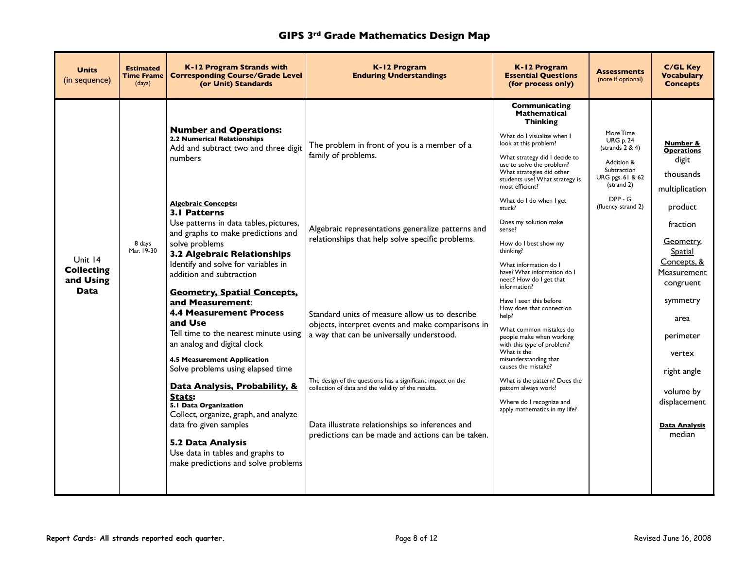| <b>Units</b><br>(in sequence)                     | <b>Estimated</b><br><b>Time Frame</b><br>(days) | K-12 Program Strands with<br><b>Corresponding Course/Grade Level</b><br>(or Unit) Standards                                                                                                                                                                                                                                                             | K-12 Program<br><b>Enduring Understandings</b>                                                                                                                                                                                                                                                                            | K-12 Program<br><b>Essential Ouestions</b><br>(for process only)                                                                                                                                                                                                                                                                       | <b>Assessments</b><br>(note if optional)                                                                                                           | <b>C/GL Key</b><br><b>Vocabulary</b><br><b>Concepts</b>                                                     |
|---------------------------------------------------|-------------------------------------------------|---------------------------------------------------------------------------------------------------------------------------------------------------------------------------------------------------------------------------------------------------------------------------------------------------------------------------------------------------------|---------------------------------------------------------------------------------------------------------------------------------------------------------------------------------------------------------------------------------------------------------------------------------------------------------------------------|----------------------------------------------------------------------------------------------------------------------------------------------------------------------------------------------------------------------------------------------------------------------------------------------------------------------------------------|----------------------------------------------------------------------------------------------------------------------------------------------------|-------------------------------------------------------------------------------------------------------------|
| Unit 14<br>Collecting<br>and Using<br><b>Data</b> |                                                 | <b>Number and Operations:</b><br><b>2.2 Numerical Relationships</b><br>Add and subtract two and three digit<br>numbers<br><b>Algebraic Concepts:</b>                                                                                                                                                                                                    | The problem in front of you is a member of a<br>family of problems.                                                                                                                                                                                                                                                       | Communicating<br><b>Mathematical</b><br><b>Thinking</b><br>What do I visualize when I<br>look at this problem?<br>What strategy did I decide to<br>use to solve the problem?<br>What strategies did other<br>students use? What strategy is<br>most efficient?<br>What do I do when I get<br>stuck?                                    | More Time<br><b>URG p. 24</b><br>(strands 2 & 4)<br>Addition &<br>Subtraction<br>URG pgs. 61 & 62<br>(strand 2)<br>$DPP - G$<br>(fluency strand 2) | Number &<br><b>Operations</b><br>digit<br>thousands<br>multiplication<br>product                            |
|                                                   | 8 days<br>Mar. 19-30                            | <b>3.1 Patterns</b><br>Use patterns in data tables, pictures,<br>and graphs to make predictions and<br>solve problems<br>3.2 Algebraic Relationships<br>Identify and solve for variables in<br>addition and subtraction<br><b>Geometry, Spatial Concepts,</b>                                                                                           | Algebraic representations generalize patterns and<br>relationships that help solve specific problems.                                                                                                                                                                                                                     | Does my solution make<br>sense?<br>How do I best show my<br>thinking?<br>What information do I<br>have? What information do I<br>need? How do I get that<br>information?                                                                                                                                                               |                                                                                                                                                    | fraction<br>Geometry,<br><b>Spatial</b><br>Concepts, &<br>Measurement<br>congruent                          |
|                                                   |                                                 | and Measurement:<br><b>4.4 Measurement Process</b><br>and Use<br>Tell time to the nearest minute using<br>an analog and digital clock<br><b>4.5 Measurement Application</b><br>Solve problems using elapsed time<br>Data Analysis, Probability, &<br>Stats:<br>5.1 Data Organization<br>Collect, organize, graph, and analyze<br>data fro given samples | Standard units of measure allow us to describe<br>objects, interpret events and make comparisons in<br>a way that can be universally understood.<br>The design of the questions has a significant impact on the<br>collection of data and the validity of the results.<br>Data illustrate relationships so inferences and | Have I seen this before<br>How does that connection<br>help?<br>What common mistakes do<br>people make when working<br>with this type of problem?<br>What is the<br>misunderstanding that<br>causes the mistake?<br>What is the pattern? Does the<br>pattern always work?<br>Where do I recognize and<br>apply mathematics in my life? |                                                                                                                                                    | symmetry<br>area<br>perimeter<br>vertex<br>right angle<br>volume by<br>displacement<br><b>Data Analysis</b> |
|                                                   |                                                 | 5.2 Data Analysis<br>Use data in tables and graphs to<br>make predictions and solve problems                                                                                                                                                                                                                                                            | predictions can be made and actions can be taken.                                                                                                                                                                                                                                                                         |                                                                                                                                                                                                                                                                                                                                        |                                                                                                                                                    | median                                                                                                      |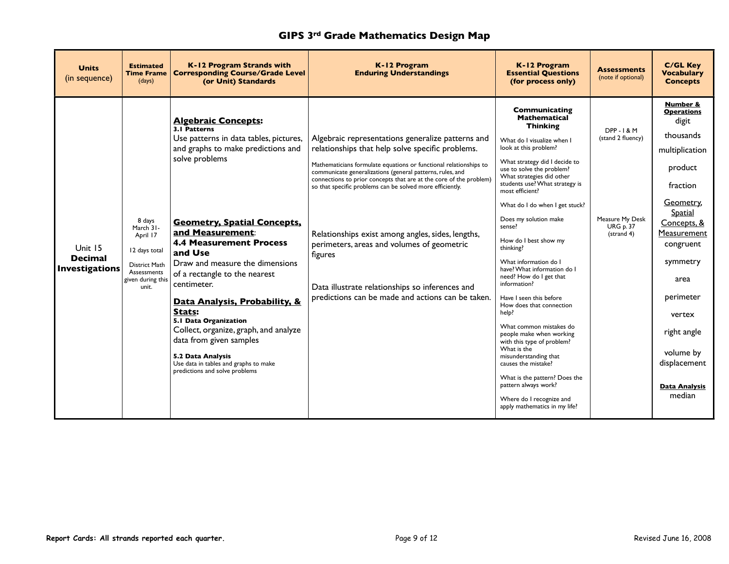| <b>Units</b><br>(in sequence)                      | <b>Estimated</b><br><b>Time Frame</b><br>(days)                                                                | K-12 Program Strands with<br><b>Corresponding Course/Grade Level</b><br>(or Unit) Standards                                                                                                                                                                                                                                                                                                                                                                                                                                                                                    | K-12 Program<br><b>Enduring Understandings</b>                                                                                                                                                                                                                                                                                                                                                                                                                                                                                                                                                   | K-12 Program<br><b>Essential Questions</b><br>(for process only)                                                                                                                                                                                                                                                                                                                                                                                                                                                                                                                                                                                                                                                                                                                                                              | <b>Assessments</b><br>(note if optional)                                                     | <b>C/GL Key</b><br><b>Vocabulary</b><br><b>Concepts</b>                                                                                                                                                                                                                                         |
|----------------------------------------------------|----------------------------------------------------------------------------------------------------------------|--------------------------------------------------------------------------------------------------------------------------------------------------------------------------------------------------------------------------------------------------------------------------------------------------------------------------------------------------------------------------------------------------------------------------------------------------------------------------------------------------------------------------------------------------------------------------------|--------------------------------------------------------------------------------------------------------------------------------------------------------------------------------------------------------------------------------------------------------------------------------------------------------------------------------------------------------------------------------------------------------------------------------------------------------------------------------------------------------------------------------------------------------------------------------------------------|-------------------------------------------------------------------------------------------------------------------------------------------------------------------------------------------------------------------------------------------------------------------------------------------------------------------------------------------------------------------------------------------------------------------------------------------------------------------------------------------------------------------------------------------------------------------------------------------------------------------------------------------------------------------------------------------------------------------------------------------------------------------------------------------------------------------------------|----------------------------------------------------------------------------------------------|-------------------------------------------------------------------------------------------------------------------------------------------------------------------------------------------------------------------------------------------------------------------------------------------------|
| Unit 15<br><b>Decimal</b><br><b>Investigations</b> | 8 days<br>March 31-<br>April 17<br>12 days total<br>District Math<br>Assessments<br>given during this<br>unit. | <b>Algebraic Concepts:</b><br>3.1 Patterns<br>Use patterns in data tables, pictures,<br>and graphs to make predictions and<br>solve problems<br><b>Geometry, Spatial Concepts,</b><br>and Measurement:<br><b>4.4 Measurement Process</b><br>and Use<br>Draw and measure the dimensions<br>of a rectangle to the nearest<br>centimeter.<br>Data Analysis, Probability, &<br>Stats:<br>5.1 Data Organization<br>Collect, organize, graph, and analyze<br>data from given samples<br>5.2 Data Analysis<br>Use data in tables and graphs to make<br>predictions and solve problems | Algebraic representations generalize patterns and<br>relationships that help solve specific problems.<br>Mathematicians formulate equations or functional relationships to<br>communicate generalizations (general patterns, rules, and<br>connections to prior concepts that are at the core of the problem)<br>so that specific problems can be solved more efficiently.<br>Relationships exist among angles, sides, lengths,<br>perimeters, areas and volumes of geometric<br>figures<br>Data illustrate relationships so inferences and<br>predictions can be made and actions can be taken. | <b>Communicating</b><br><b>Mathematical</b><br><b>Thinking</b><br>What do I visualize when I<br>look at this problem?<br>What strategy did I decide to<br>use to solve the problem?<br>What strategies did other<br>students use? What strategy is<br>most efficient?<br>What do I do when I get stuck?<br>Does my solution make<br>sense?<br>How do I best show my<br>thinking?<br>What information do I<br>have? What information do I<br>need? How do I get that<br>information?<br>Have I seen this before<br>How does that connection<br>help?<br>What common mistakes do<br>people make when working<br>with this type of problem?<br>What is the<br>misunderstanding that<br>causes the mistake?<br>What is the pattern? Does the<br>pattern always work?<br>Where do I recognize and<br>apply mathematics in my life? | <b>DPP-1&amp;M</b><br>(stand 2 fluency)<br>Measure My Desk<br><b>URG p. 37</b><br>(strand 4) | Number &<br><b>Operations</b><br>digit<br>thousands<br>multiplication<br>product<br>fraction<br>Geometry,<br><b>Spatial</b><br>Concepts, &<br>Measurement<br>congruent<br>symmetry<br>area<br>perimeter<br>vertex<br>right angle<br>volume by<br>displacement<br><b>Data Analysis</b><br>median |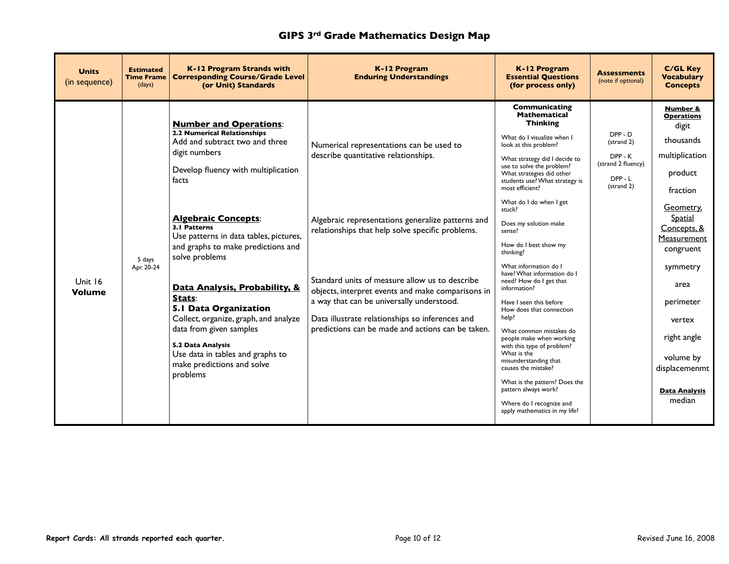| <b>Units</b><br>(in sequence) | <b>Estimated</b><br><b>Time Frame</b><br>(days) | K-12 Program Strands with<br><b>Corresponding Course/Grade Level</b><br>(or Unit) Standards                                                                                                                                                                                                                                                                                                                                                                                                                                                                       | K-12 Program<br><b>Enduring Understandings</b>                                                                                                                                                                                                                                                                                                                                                                                                        | K-12 Program<br><b>Essential Questions</b><br>(for process only)                                                                                                                                                                                                                                                                                                                                                                                                                                                                                                                                                                                                                                                                                                                                                                 | <b>Assessments</b><br>(note if optional)                                  | <b>C/GL Kev</b><br><b>Vocabulary</b><br><b>Concepts</b>                                                                                                                                                                                                                                   |
|-------------------------------|-------------------------------------------------|-------------------------------------------------------------------------------------------------------------------------------------------------------------------------------------------------------------------------------------------------------------------------------------------------------------------------------------------------------------------------------------------------------------------------------------------------------------------------------------------------------------------------------------------------------------------|-------------------------------------------------------------------------------------------------------------------------------------------------------------------------------------------------------------------------------------------------------------------------------------------------------------------------------------------------------------------------------------------------------------------------------------------------------|----------------------------------------------------------------------------------------------------------------------------------------------------------------------------------------------------------------------------------------------------------------------------------------------------------------------------------------------------------------------------------------------------------------------------------------------------------------------------------------------------------------------------------------------------------------------------------------------------------------------------------------------------------------------------------------------------------------------------------------------------------------------------------------------------------------------------------|---------------------------------------------------------------------------|-------------------------------------------------------------------------------------------------------------------------------------------------------------------------------------------------------------------------------------------------------------------------------------------|
| Unit 16<br><b>Volume</b>      | 5 days<br>Apr. 20-24                            | <b>Number and Operations:</b><br><b>2.2 Numerical Relationships</b><br>Add and subtract two and three<br>digit numbers<br>Develop fluency with multiplication<br>facts<br><b>Algebraic Concepts:</b><br>3.1 Patterns<br>Use patterns in data tables, pictures,<br>and graphs to make predictions and<br>solve problems<br>Data Analysis, Probability, &<br>Stats:<br>5.1 Data Organization<br>Collect, organize, graph, and analyze<br>data from given samples<br>5.2 Data Analysis<br>Use data in tables and graphs to<br>make predictions and solve<br>problems | Numerical representations can be used to<br>describe quantitative relationships.<br>Algebraic representations generalize patterns and<br>relationships that help solve specific problems.<br>Standard units of measure allow us to describe<br>objects, interpret events and make comparisons in<br>a way that can be universally understood.<br>Data illustrate relationships so inferences and<br>predictions can be made and actions can be taken. | <b>Communicating</b><br><b>Mathematical</b><br><b>Thinking</b><br>What do I visualize when I<br>look at this problem?<br>What strategy did I decide to<br>use to solve the problem?<br>What strategies did other<br>students use? What strategy is<br>most efficient?<br>What do I do when I get<br>stuck?<br>Does my solution make<br>sense?<br>How do I best show my<br>thinking?<br>What information do I<br>have? What information do I<br>need? How do I get that<br>information?<br>Have I seen this before<br>How does that connection<br>help?<br>What common mistakes do<br>people make when working<br>with this type of problem?<br>What is the<br>misunderstanding that<br>causes the mistake?<br>What is the pattern? Does the<br>pattern always work?<br>Where do I recognize and<br>apply mathematics in my life? | DPP-D<br>(strand 2)<br>DPP-K<br>(strand 2 fluency)<br>DPP-L<br>(strand 2) | Number &<br><b>Operations</b><br>digit<br>thousands<br>multiplication<br>product<br>fraction<br>Geometry,<br>Spatial<br>Concepts, &<br>Measurement<br>congruent<br>symmetry<br>area<br>perimeter<br>vertex<br>right angle<br>volume by<br>displacemenmt<br><b>Data Analysis</b><br>median |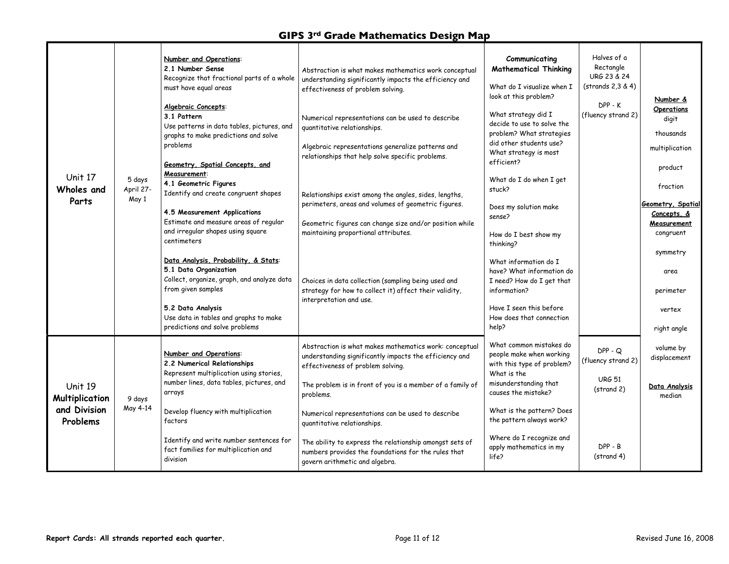| Unit 17<br>Wholes and<br>Parts                        | 5 days<br>April 27-<br>May 1 | Number and Operations:<br>2.1 Number Sense<br>Recognize that fractional parts of a whole<br>must have equal areas<br>Algebraic Concepts:<br>3.1 Pattern<br>Use patterns in data tables, pictures, and<br>graphs to make predictions and solve<br>problems<br>Geometry, Spatial Concepts, and<br>Measurement:<br>4.1 Geometric Figures<br>Identify and create congruent shapes<br>4.5 Measurement Applications<br>Estimate and measure areas of regular<br>and irregular shapes using square<br>centimeters<br>Data Analysis, Probability, & Stats:<br>5.1 Data Organization<br>Collect, organize, graph, and analyze data<br>from given samples<br>5.2 Data Analysis<br>Use data in tables and graphs to make<br>predictions and solve problems | Abstraction is what makes mathematics work conceptual<br>understanding significantly impacts the efficiency and<br>effectiveness of problem solving.<br>Numerical representations can be used to describe<br>quantitative relationships.<br>Algebraic representations generalize patterns and<br>relationships that help solve specific problems.<br>Relationships exist among the angles, sides, lengths,<br>perimeters, areas and volumes of geometric figures.<br>Geometric figures can change size and/or position while<br>maintaining proportional attributes.<br>Choices in data collection (sampling being used and<br>strategy for how to collect it) affect their validity,<br>interpretation and use. | Communicating<br><b>Mathematical Thinking</b><br>What do I visualize when I<br>look at this problem?<br>What strategy did I<br>decide to use to solve the<br>problem? What strategies<br>did other students use?<br>What strategy is most<br>efficient?<br>What do I do when I get<br>stuck?<br>Does my solution make<br>sense?<br>How do I best show my<br>thinking?<br>What information do I<br>have? What information do<br>I need? How do I get that<br>information?<br>Have I seen this before<br>How does that connection<br>help? | Halves of a<br>Rectangle<br>URG 23 & 24<br>(strands 2,3 & 4)<br>$DPP - K$<br>(fluency strand 2) | Number &<br><b>Operations</b><br>digit<br>thousands<br>multiplication<br>product<br>fraction<br><b>Geometry, Spatial</b><br>Concepts, &<br>Measurement<br>congruent<br>symmetry<br>area<br>perimeter<br>vertex<br>right angle |
|-------------------------------------------------------|------------------------------|-------------------------------------------------------------------------------------------------------------------------------------------------------------------------------------------------------------------------------------------------------------------------------------------------------------------------------------------------------------------------------------------------------------------------------------------------------------------------------------------------------------------------------------------------------------------------------------------------------------------------------------------------------------------------------------------------------------------------------------------------|------------------------------------------------------------------------------------------------------------------------------------------------------------------------------------------------------------------------------------------------------------------------------------------------------------------------------------------------------------------------------------------------------------------------------------------------------------------------------------------------------------------------------------------------------------------------------------------------------------------------------------------------------------------------------------------------------------------|------------------------------------------------------------------------------------------------------------------------------------------------------------------------------------------------------------------------------------------------------------------------------------------------------------------------------------------------------------------------------------------------------------------------------------------------------------------------------------------------------------------------------------------|-------------------------------------------------------------------------------------------------|-------------------------------------------------------------------------------------------------------------------------------------------------------------------------------------------------------------------------------|
| Unit 19<br>Multiplication<br>and Division<br>Problems | 9 days<br>May 4-14           | Number and Operations:<br>2.2 Numerical Relationships<br>Represent multiplication using stories,<br>number lines, data tables, pictures, and<br>arrays<br>Develop fluency with multiplication<br>factors<br>Identify and write number sentences for<br>fact families for multiplication and<br>division                                                                                                                                                                                                                                                                                                                                                                                                                                         | Abstraction is what makes mathematics work: conceptual<br>understanding significantly impacts the efficiency and<br>effectiveness of problem solving.<br>The problem is in front of you is a member of a family of<br>problems.<br>Numerical representations can be used to describe<br>quantitative relationships.<br>The ability to express the relationship amongst sets of<br>numbers provides the foundations for the rules that<br>govern arithmetic and algebra.                                                                                                                                                                                                                                          | What common mistakes do<br>people make when working<br>with this type of problem?<br>What is the<br>misunderstanding that<br>causes the mistake?<br>What is the pattern? Does<br>the pattern always work?<br>Where do I recognize and<br>apply mathematics in my<br>life?                                                                                                                                                                                                                                                                | $DPP - Q$<br>(fluency strand 2)<br><b>URG 51</b><br>(strand 2)<br>$DPP - B$<br>(strand 4)       | volume by<br>displacement<br>Data Analysis<br>median                                                                                                                                                                          |

г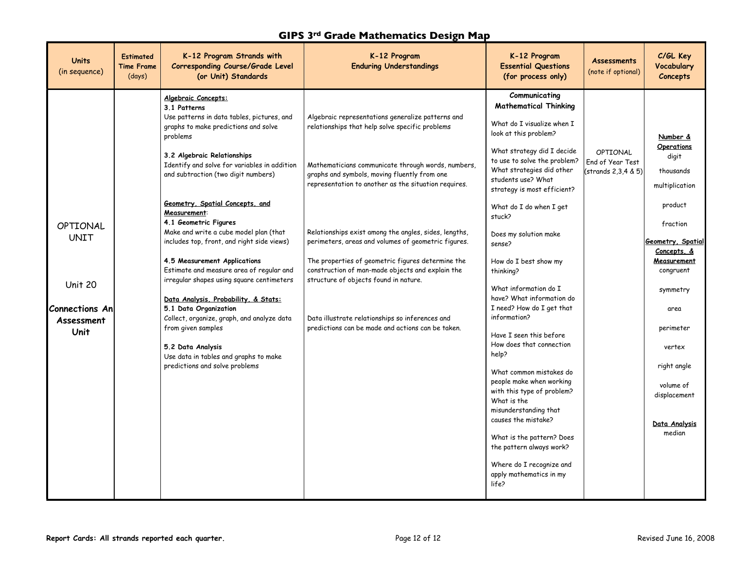| K-12 Program Strands with<br>K-12 Program<br>K-12 Program<br><b>Estimated</b><br><b>Units</b><br><b>Assessments</b><br><b>Enduring Understandings</b><br><b>Corresponding Course/Grade Level</b><br><b>Essential Questions</b><br><b>Time Frame</b><br>(note if optional)<br>(in sequence)<br>(days)<br>(or Unit) Standards<br>(for process only)                                                                                                                                                                                                                                                                                                                                                                                                                                                                                                                                                                                                                                                                                                                                                                                                                                                                                                                                                                                                                                                                                                                                                                                                                                                                                                                                                                                                                                                                                                                                                                                                                                                                                                                                                                                                                                                                                                                                                                                                                                                                       | C/GL Key<br><b>Vocabulary</b><br>Concepts                                                                                                                                                                                                                                      |
|-------------------------------------------------------------------------------------------------------------------------------------------------------------------------------------------------------------------------------------------------------------------------------------------------------------------------------------------------------------------------------------------------------------------------------------------------------------------------------------------------------------------------------------------------------------------------------------------------------------------------------------------------------------------------------------------------------------------------------------------------------------------------------------------------------------------------------------------------------------------------------------------------------------------------------------------------------------------------------------------------------------------------------------------------------------------------------------------------------------------------------------------------------------------------------------------------------------------------------------------------------------------------------------------------------------------------------------------------------------------------------------------------------------------------------------------------------------------------------------------------------------------------------------------------------------------------------------------------------------------------------------------------------------------------------------------------------------------------------------------------------------------------------------------------------------------------------------------------------------------------------------------------------------------------------------------------------------------------------------------------------------------------------------------------------------------------------------------------------------------------------------------------------------------------------------------------------------------------------------------------------------------------------------------------------------------------------------------------------------------------------------------------------------------------|--------------------------------------------------------------------------------------------------------------------------------------------------------------------------------------------------------------------------------------------------------------------------------|
| Communicating<br>Algebraic Concepts:<br><b>Mathematical Thinking</b><br>3.1 Patterns<br>Use patterns in data tables, pictures, and<br>Algebraic representations generalize patterns and<br>What do I visualize when I<br>graphs to make predictions and solve<br>relationships that help solve specific problems<br>look at this problem?<br>problems<br>What strategy did I decide<br>OPTIONAL<br>3.2 Algebraic Relationships<br>to use to solve the problem?<br>End of Year Test<br>Identify and solve for variables in addition<br>Mathematicians communicate through words, numbers,<br>What strategies did other<br>(strands 2,3,4 & 5) <br>and subtraction (two digit numbers)<br>graphs and symbols, moving fluently from one<br>students use? What<br>representation to another as the situation requires.<br>strategy is most efficient?<br>Geometry, Spatial Concepts, and<br>What do I do when I get<br>Measurement:<br>stuck?<br>4.1 Geometric Figures<br><b>OPTIONAL</b><br>Make and write a cube model plan (that<br>Relationships exist among the angles, sides, lengths,<br>Does my solution make<br><b>UNIT</b><br>includes top, front, and right side views)<br>perimeters, areas and volumes of geometric figures.<br>sense?<br>The properties of geometric figures determine the<br>4.5 Measurement Applications<br>How do I best show my<br>Estimate and measure area of regular and<br>construction of man-made objects and explain the<br>thinking?<br>structure of objects found in nature.<br>irregular shapes using square centimeters<br>Unit 20<br>What information do I<br>have? What information do<br>Data Analysis, Probability, & Stats:<br>I need? How do I get that<br><b>Connections An</b><br>5.1 Data Organization<br>information?<br>Collect, organize, graph, and analyze data<br>Data illustrate relationships so inferences and<br>Assessment<br>predictions can be made and actions can be taken.<br>from given samples<br>Unit<br>Have I seen this before<br>How does that connection<br>5.2 Data Analysis<br>help?<br>Use data in tables and graphs to make<br>predictions and solve problems<br>What common mistakes do<br>people make when working<br>with this type of problem?<br>What is the<br>misunderstanding that<br>causes the mistake?<br>What is the pattern? Does<br>the pattern always work?<br>Where do I recognize and<br>apply mathematics in my<br>life? | Number &<br><b>Operations</b><br>digit<br>thousands<br>multiplication<br>product<br>fraction<br>Geometry, Spatial<br>Concepts, &<br>Measurement<br>congruent<br>symmetry<br>area<br>perimeter<br>vertex<br>right angle<br>volume of<br>displacement<br>Data Analysis<br>median |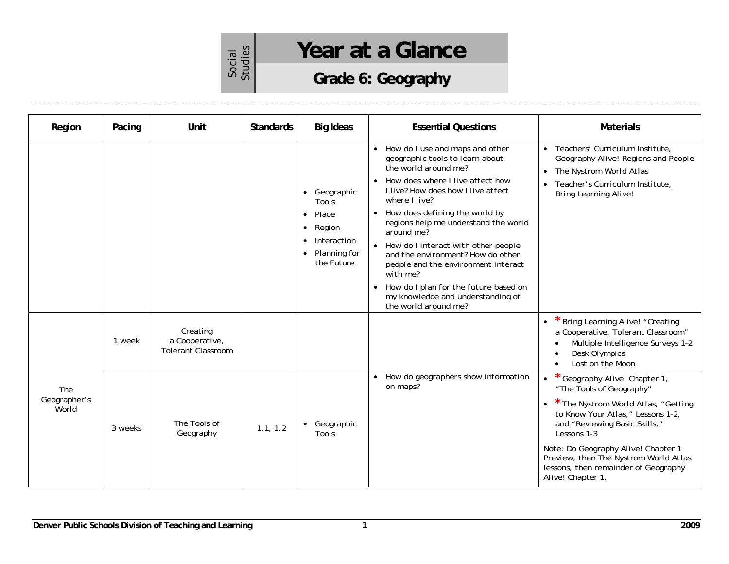# Social<br>Studies

## Year at a Glance

## **Grade 6: Geography**

| Region                       | Pacing  | Unit                                                    | <b>Standards</b> | <b>Big Ideas</b>                                                                                                                        | <b>Essential Questions</b>                                                                                                                                                                                                                                                                                                                                                                                                                                                                                                                                    | <b>Materials</b>                                                                                                                                                                                                                                                                                                                              |
|------------------------------|---------|---------------------------------------------------------|------------------|-----------------------------------------------------------------------------------------------------------------------------------------|---------------------------------------------------------------------------------------------------------------------------------------------------------------------------------------------------------------------------------------------------------------------------------------------------------------------------------------------------------------------------------------------------------------------------------------------------------------------------------------------------------------------------------------------------------------|-----------------------------------------------------------------------------------------------------------------------------------------------------------------------------------------------------------------------------------------------------------------------------------------------------------------------------------------------|
|                              |         |                                                         |                  | Geographic<br>$\bullet$<br>Tools<br>Place<br>$\bullet$<br>Region<br>$\bullet$<br>Interaction<br>Planning for<br>$\bullet$<br>the Future | How do I use and maps and other<br>$\bullet$<br>geographic tools to learn about<br>the world around me?<br>How does where I live affect how<br>$\bullet$<br>I live? How does how I live affect<br>where I live?<br>• How does defining the world by<br>regions help me understand the world<br>around me?<br>• How do I interact with other people<br>and the environment? How do other<br>people and the environment interact<br>with me?<br>How do I plan for the future based on<br>$\bullet$<br>my knowledge and understanding of<br>the world around me? | Teachers' Curriculum Institute,<br>Geography Alive! Regions and People<br>The Nystrom World Atlas<br>$\bullet$<br>Teacher's Curriculum Institute,<br><b>Bring Learning Alive!</b>                                                                                                                                                             |
|                              | 1 week  | Creating<br>a Cooperative,<br><b>Tolerant Classroom</b> |                  |                                                                                                                                         |                                                                                                                                                                                                                                                                                                                                                                                                                                                                                                                                                               | * Bring Learning Alive! "Creating<br>$\bullet$<br>a Cooperative, Tolerant Classroom"<br>Multiple Intelligence Surveys 1-2<br>$\bullet$<br>Desk Olympics<br>$\bullet$<br>Lost on the Moon<br>$\bullet$                                                                                                                                         |
| The<br>Geographer's<br>World | 3 weeks | The Tools of<br>Geography                               | 1.1, 1.2         | Geographic<br>Tools                                                                                                                     | How do geographers show information<br>$\bullet$<br>on maps?                                                                                                                                                                                                                                                                                                                                                                                                                                                                                                  | Geography Alive! Chapter 1,<br>"The Tools of Geography"<br>* The Nystrom World Atlas, "Getting<br>$\bullet$<br>to Know Your Atlas," Lessons 1-2,<br>and "Reviewing Basic Skills,"<br>Lessons 1-3<br>Note: Do Geography Alive! Chapter 1<br>Preview, then The Nystrom World Atlas<br>lessons, then remainder of Geography<br>Alive! Chapter 1. |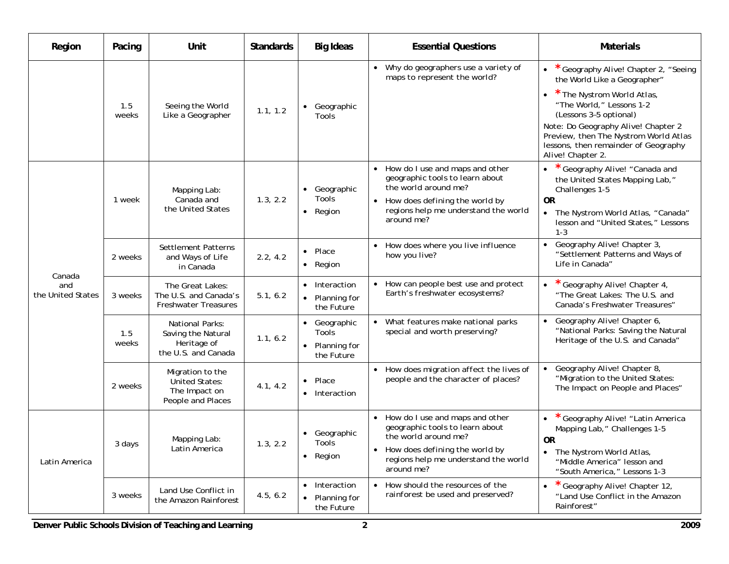| Region                             | Pacing       | Unit                                                                            | <b>Standards</b> | <b>Big Ideas</b>                                  | <b>Essential Questions</b>                                                                                                                                                             | <b>Materials</b>                                                                                                                                                                                                                                                                                                  |
|------------------------------------|--------------|---------------------------------------------------------------------------------|------------------|---------------------------------------------------|----------------------------------------------------------------------------------------------------------------------------------------------------------------------------------------|-------------------------------------------------------------------------------------------------------------------------------------------------------------------------------------------------------------------------------------------------------------------------------------------------------------------|
|                                    | 1.5<br>weeks | Seeing the World<br>Like a Geographer                                           | 1.1, 1.2         | • Geographic<br>Tools                             | Why do geographers use a variety of<br>$\bullet$<br>maps to represent the world?                                                                                                       | Geography Alive! Chapter 2, "Seeing<br>$\bullet$<br>the World Like a Geographer"<br>* The Nystrom World Atlas,<br>"The World," Lessons 1-2<br>(Lessons 3-5 optional)<br>Note: Do Geography Alive! Chapter 2<br>Preview, then The Nystrom World Atlas<br>lessons, then remainder of Geography<br>Alive! Chapter 2. |
|                                    | 1 week       | Mapping Lab:<br>Canada and<br>the United States                                 | 1.3, 2.2         | • Geographic<br>Tools<br>• Region                 | • How do I use and maps and other<br>geographic tools to learn about<br>the world around me?<br>• How does defining the world by<br>regions help me understand the world<br>around me? | Geography Alive! "Canada and<br>the United States Mapping Lab,"<br>Challenges 1-5<br><b>OR</b><br>The Nystrom World Atlas, "Canada"<br>$\bullet$<br>lesson and "United States," Lessons<br>$1 - 3$                                                                                                                |
|                                    | 2 weeks      | Settlement Patterns<br>and Ways of Life<br>in Canada                            | 2.2, 4.2         | • Place<br>• Region                               | How does where you live influence<br>how you live?                                                                                                                                     | Geography Alive! Chapter 3,<br>"Settlement Patterns and Ways of<br>Life in Canada"                                                                                                                                                                                                                                |
| Canada<br>and<br>the United States | 3 weeks      | The Great Lakes:<br>The U.S. and Canada's<br><b>Freshwater Treasures</b>        | 5.1, 6.2         | • Interaction<br>• Planning for<br>the Future     | • How can people best use and protect<br>Earth's freshwater ecosystems?                                                                                                                | Geography Alive! Chapter 4,<br>$\bullet$<br>"The Great Lakes: The U.S. and<br>Canada's Freshwater Treasures"                                                                                                                                                                                                      |
|                                    | 1.5<br>weeks | National Parks:<br>Saving the Natural<br>Heritage of<br>the U.S. and Canada     | 1.1, 6.2         | Geographic<br>Tools<br>Planning for<br>the Future | What features make national parks<br>$\bullet$<br>special and worth preserving?                                                                                                        | Geography Alive! Chapter 6,<br>"National Parks: Saving the Natural<br>Heritage of the U.S. and Canada"                                                                                                                                                                                                            |
|                                    | 2 weeks      | Migration to the<br><b>United States:</b><br>The Impact on<br>People and Places | 4.1, 4.2         | Place<br>• Interaction                            | • How does migration affect the lives of<br>people and the character of places?                                                                                                        | Geography Alive! Chapter 8,<br>$\bullet$<br>"Migration to the United States:<br>The Impact on People and Places"                                                                                                                                                                                                  |
| Latin America                      | 3 days       | Mapping Lab:<br>Latin America                                                   | 1.3, 2.2         | • Geographic<br>Tools<br>• Region                 | How do I use and maps and other<br>geographic tools to learn about<br>the world around me?<br>How does defining the world by<br>regions help me understand the world<br>around me?     | Geography Alive! "Latin America<br>Mapping Lab," Challenges 1-5<br><b>OR</b><br>The Nystrom World Atlas,<br>"Middle America" lesson and<br>"South America," Lessons 1-3                                                                                                                                           |
|                                    | 3 weeks      | Land Use Conflict in<br>the Amazon Rainforest                                   | 4.5, 6.2         | • Interaction<br>• Planning for<br>the Future     | How should the resources of the<br>rainforest be used and preserved?                                                                                                                   | Geography Alive! Chapter 12,<br>"Land Use Conflict in the Amazon<br>Rainforest"                                                                                                                                                                                                                                   |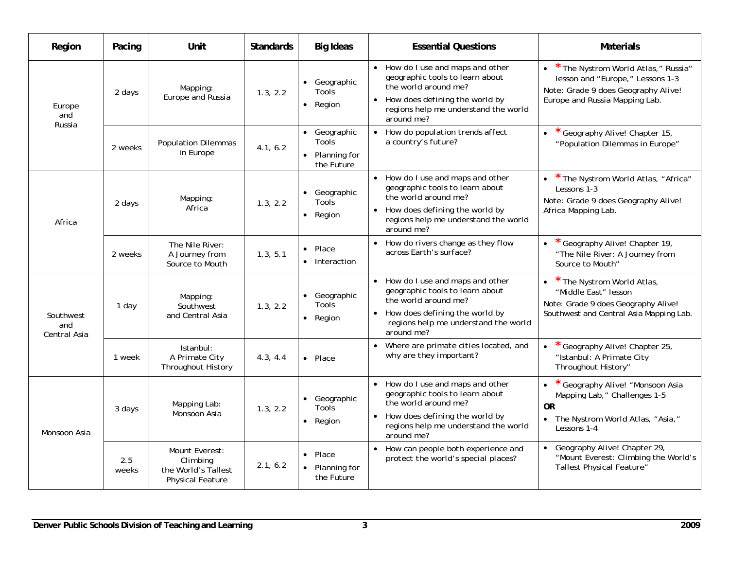| Region                           | Pacing       | Unit                                                                         | <b>Standards</b> | <b>Big Ideas</b>                                      | <b>Essential Questions</b>                                                                                                                                                                                   | <b>Materials</b>                                                                                                                                 |
|----------------------------------|--------------|------------------------------------------------------------------------------|------------------|-------------------------------------------------------|--------------------------------------------------------------------------------------------------------------------------------------------------------------------------------------------------------------|--------------------------------------------------------------------------------------------------------------------------------------------------|
| Europe<br>and                    | 2 days       | Mapping:<br>Europe and Russia                                                | 1.3, 2.2         | • Geographic<br>Tools<br>• Region                     | • How do I use and maps and other<br>geographic tools to learn about<br>the world around me?<br>How does defining the world by<br>$\bullet$<br>regions help me understand the world<br>around me?            | * The Nystrom World Atlas," Russia"<br>lesson and "Europe," Lessons 1-3<br>Note: Grade 9 does Geography Alive!<br>Europe and Russia Mapping Lab. |
| Russia                           | 2 weeks      | <b>Population Dilemmas</b><br>in Europe                                      | 4.1, 6.2         | • Geographic<br>Tools<br>• Planning for<br>the Future | How do population trends affect<br>$\bullet$<br>a country's future?                                                                                                                                          | Geography Alive! Chapter 15,<br>$\bullet$<br>"Population Dilemmas in Europe"                                                                     |
| Africa                           | 2 days       | Mapping:<br>Africa                                                           | 1.3, 2.2         | • Geographic<br>Tools<br>• Region                     | How do I use and maps and other<br>$\bullet$<br>geographic tools to learn about<br>the world around me?<br>How does defining the world by<br>$\bullet$<br>regions help me understand the world<br>around me? | * The Nystrom World Atlas, "Africa"<br>Lessons 1-3<br>Note: Grade 9 does Geography Alive!<br>Africa Mapping Lab.                                 |
|                                  | 2 weeks      | The Nile River:<br>A Journey from<br>Source to Mouth                         | 1.3, 5.1         | $\bullet$ Place<br>• Interaction                      | How do rivers change as they flow<br>across Earth's surface?                                                                                                                                                 | Geography Alive! Chapter 19,<br>"The Nile River: A Journey from<br>Source to Mouth"                                                              |
| Southwest<br>and<br>Central Asia | 1 day        | Mapping:<br>Southwest<br>and Central Asia                                    | 1.3, 2.2         | • Geographic<br>Tools<br>• Region                     | • How do I use and maps and other<br>geographic tools to learn about<br>the world around me?<br>How does defining the world by<br>regions help me understand the world<br>around me?                         | * The Nystrom World Atlas,<br>"Middle East" lesson<br>Note: Grade 9 does Geography Alive!<br>Southwest and Central Asia Mapping Lab.             |
|                                  | 1 week       | Istanbul:<br>A Primate City<br>Throughout History                            | 4.3, 4.4         | $\bullet$ Place                                       | Where are primate cities located, and<br>$\bullet$<br>why are they important?                                                                                                                                | * Geography Alive! Chapter 25,<br>"Istanbul: A Primate City<br>Throughout History"                                                               |
| Monsoon Asia                     | 3 days       | Mapping Lab:<br>Monsoon Asia                                                 | 1.3, 2.2         | • Geographic<br><b>Tools</b><br>• Region              | • How do I use and maps and other<br>geographic tools to learn about<br>the world around me?<br>• How does defining the world by<br>regions help me understand the world<br>around me?                       | Geography Alive! "Monsoon Asia<br>Mapping Lab," Challenges 1-5<br><b>OR</b><br>The Nystrom World Atlas, "Asia,"<br>Lessons 1-4                   |
|                                  | 2.5<br>weeks | Mount Everest:<br>Climbing<br>the World's Tallest<br><b>Physical Feature</b> | 2.1, 6.2         | • Place<br>• Planning for<br>the Future               | How can people both experience and<br>protect the world's special places?                                                                                                                                    | Geography Alive! Chapter 29,<br>"Mount Everest: Climbing the World's<br><b>Tallest Physical Feature"</b>                                         |